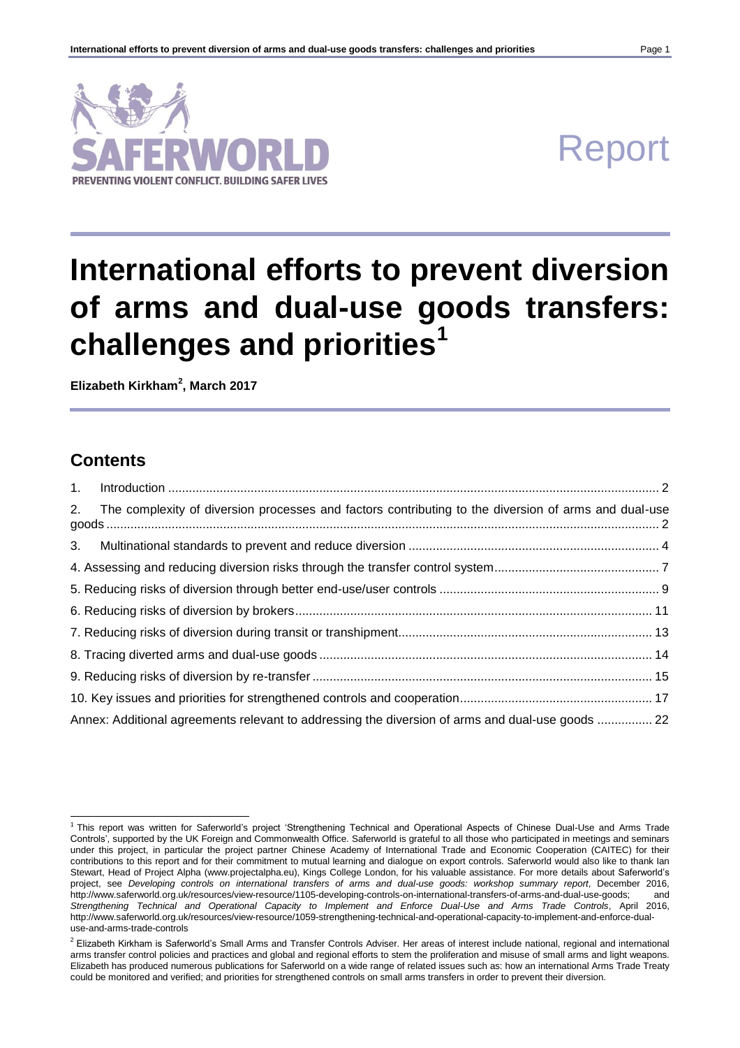

# Report

# **International efforts to prevent diversion of arms and dual-use goods transfers: challenges and priorities<sup>1</sup>**

**Elizabeth Kirkham<sup>2</sup> , March 2017**

# **Contents**

| The complexity of diversion processes and factors contributing to the diversion of arms and dual-use<br>2. |  |
|------------------------------------------------------------------------------------------------------------|--|
| 3.                                                                                                         |  |
|                                                                                                            |  |
|                                                                                                            |  |
|                                                                                                            |  |
|                                                                                                            |  |
|                                                                                                            |  |
|                                                                                                            |  |
|                                                                                                            |  |
| Annex: Additional agreements relevant to addressing the diversion of arms and dual-use goods  22           |  |

<sup>1</sup> This report was written for Saferworld's project 'Strengthening Technical and Operational Aspects of Chinese Dual-Use and Arms Trade Controls', supported by the UK Foreign and Commonwealth Office. Saferworld is grateful to all those who participated in meetings and seminars under this project, in particular the project partner Chinese Academy of International Trade and Economic Cooperation (CAITEC) for their contributions to this report and for their commitment to mutual learning and dialogue on export controls. Saferworld would also like to thank Ian Stewart, Head of Project Alpha (www.projectalpha.eu), Kings College London, for his valuable assistance. For more details about Saferworld's project, see *Developing controls on international transfers of arms and dual-use goods: workshop summary report*, December 2016, http://www.saferworld.org.uk/resources/view-resource/1105-developing-controls-on-international-transfers-of-arms-and-dual-use-goods; and *Strengthening Technical and Operational Capacity to Implement and Enforce Dual-Use and Arms Trade Controls*, April 2016, http://www.saferworld.org.uk/resources/view-resource/1059-strengthening-technical-and-operational-capacity-to-implement-and-enforce-dualuse-and-arms-trade-controls

<sup>&</sup>lt;sup>2</sup> Elizabeth Kirkham is Saferworld's Small Arms and Transfer Controls Adviser. Her areas of interest include national, regional and international arms transfer control policies and practices and global and regional efforts to stem the proliferation and misuse of small arms and light weapons. Elizabeth has produced numerous publications for Saferworld on a wide range of related issues such as: how an international Arms Trade Treaty could be monitored and verified; and priorities for strengthened controls on small arms transfers in order to prevent their diversion.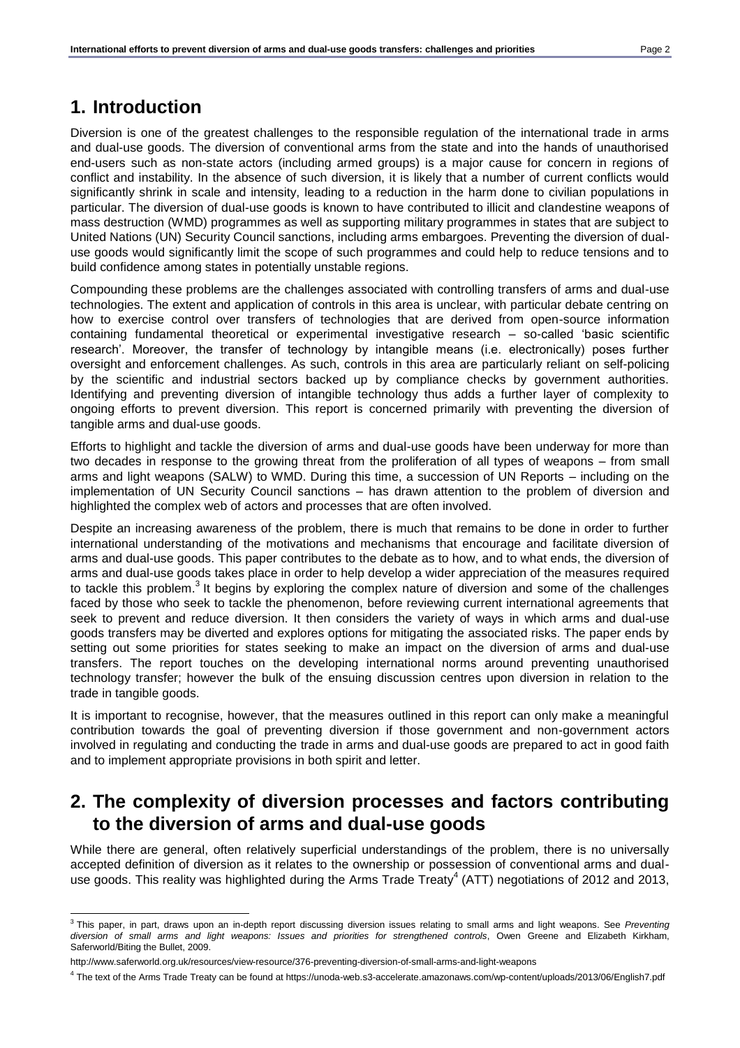# <span id="page-1-0"></span>**1. Introduction**

Diversion is one of the greatest challenges to the responsible regulation of the international trade in arms and dual-use goods. The diversion of conventional arms from the state and into the hands of unauthorised end-users such as non-state actors (including armed groups) is a major cause for concern in regions of conflict and instability. In the absence of such diversion, it is likely that a number of current conflicts would significantly shrink in scale and intensity, leading to a reduction in the harm done to civilian populations in particular. The diversion of dual-use goods is known to have contributed to illicit and clandestine weapons of mass destruction (WMD) programmes as well as supporting military programmes in states that are subject to United Nations (UN) Security Council sanctions, including arms embargoes. Preventing the diversion of dualuse goods would significantly limit the scope of such programmes and could help to reduce tensions and to build confidence among states in potentially unstable regions.

Compounding these problems are the challenges associated with controlling transfers of arms and dual-use technologies. The extent and application of controls in this area is unclear, with particular debate centring on how to exercise control over transfers of technologies that are derived from open-source information containing fundamental theoretical or experimental investigative research – so-called 'basic scientific research'. Moreover, the transfer of technology by intangible means (i.e. electronically) poses further oversight and enforcement challenges. As such, controls in this area are particularly reliant on self-policing by the scientific and industrial sectors backed up by compliance checks by government authorities. Identifying and preventing diversion of intangible technology thus adds a further layer of complexity to ongoing efforts to prevent diversion. This report is concerned primarily with preventing the diversion of tangible arms and dual-use goods.

Efforts to highlight and tackle the diversion of arms and dual-use goods have been underway for more than two decades in response to the growing threat from the proliferation of all types of weapons – from small arms and light weapons (SALW) to WMD. During this time, a succession of UN Reports – including on the implementation of UN Security Council sanctions – has drawn attention to the problem of diversion and highlighted the complex web of actors and processes that are often involved.

Despite an increasing awareness of the problem, there is much that remains to be done in order to further international understanding of the motivations and mechanisms that encourage and facilitate diversion of arms and dual-use goods. This paper contributes to the debate as to how, and to what ends, the diversion of arms and dual-use goods takes place in order to help develop a wider appreciation of the measures required to tackle this problem.<sup>3</sup> It begins by exploring the complex nature of diversion and some of the challenges faced by those who seek to tackle the phenomenon, before reviewing current international agreements that seek to prevent and reduce diversion. It then considers the variety of ways in which arms and dual-use goods transfers may be diverted and explores options for mitigating the associated risks. The paper ends by setting out some priorities for states seeking to make an impact on the diversion of arms and dual-use transfers. The report touches on the developing international norms around preventing unauthorised technology transfer; however the bulk of the ensuing discussion centres upon diversion in relation to the trade in tangible goods.

It is important to recognise, however, that the measures outlined in this report can only make a meaningful contribution towards the goal of preventing diversion if those government and non-government actors involved in regulating and conducting the trade in arms and dual-use goods are prepared to act in good faith and to implement appropriate provisions in both spirit and letter.

# <span id="page-1-1"></span>**2. The complexity of diversion processes and factors contributing to the diversion of arms and dual-use goods**

While there are general, often relatively superficial understandings of the problem, there is no universally accepted definition of diversion as it relates to the ownership or possession of conventional arms and dualuse goods. This reality was highlighted during the Arms Trade Treaty<sup>4</sup> (ATT) negotiations of 2012 and 2013,

 3 This paper, in part, draws upon an in-depth report discussing diversion issues relating to small arms and light weapons. See *Preventing diversion of small arms and light weapons: Issues and priorities for strengthened controls*, Owen Greene and Elizabeth Kirkham, Saferworld/Biting the Bullet, 2009.

http://www.saferworld.org.uk/resources/view-resource/376-preventing-diversion-of-small-arms-and-light-weapons

<sup>4</sup> The text of the Arms Trade Treaty can be found at https://unoda-web.s3-accelerate.amazonaws.com/wp-content/uploads/2013/06/English7.pdf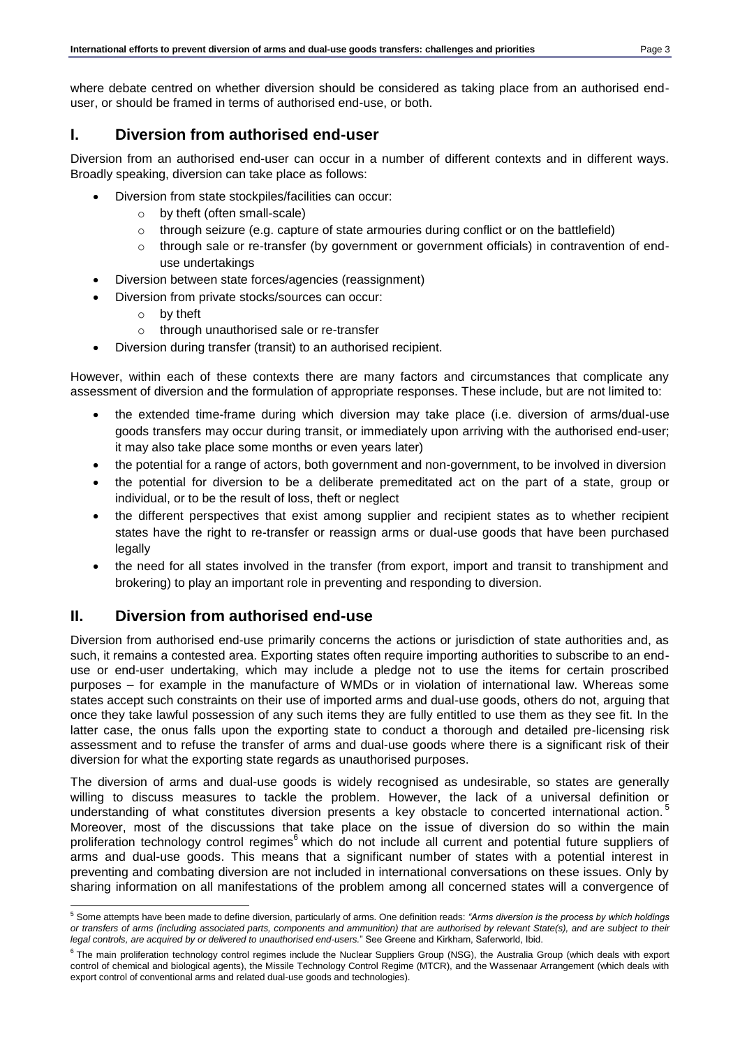where debate centred on whether diversion should be considered as taking place from an authorised enduser, or should be framed in terms of authorised end-use, or both.

## **I. Diversion from authorised end-user**

Diversion from an authorised end-user can occur in a number of different contexts and in different ways. Broadly speaking, diversion can take place as follows:

- Diversion from state stockpiles/facilities can occur:
	- o by theft (often small-scale)
	- $\circ$  through seizure (e.g. capture of state armouries during conflict or on the battlefield)
	- $\circ$  through sale or re-transfer (by government or government officials) in contravention of enduse undertakings
- Diversion between state forces/agencies (reassignment)
- Diversion from private stocks/sources can occur:
	- o by theft
	- o through unauthorised sale or re-transfer
- Diversion during transfer (transit) to an authorised recipient.

However, within each of these contexts there are many factors and circumstances that complicate any assessment of diversion and the formulation of appropriate responses. These include, but are not limited to:

- the extended time-frame during which diversion may take place (i.e. diversion of arms/dual-use goods transfers may occur during transit, or immediately upon arriving with the authorised end-user; it may also take place some months or even years later)
- the potential for a range of actors, both government and non-government, to be involved in diversion
- the potential for diversion to be a deliberate premeditated act on the part of a state, group or individual, or to be the result of loss, theft or neglect
- the different perspectives that exist among supplier and recipient states as to whether recipient states have the right to re-transfer or reassign arms or dual-use goods that have been purchased legally
- the need for all states involved in the transfer (from export, import and transit to transhipment and brokering) to play an important role in preventing and responding to diversion.

## **II. Diversion from authorised end-use**

Diversion from authorised end-use primarily concerns the actions or jurisdiction of state authorities and, as such, it remains a contested area. Exporting states often require importing authorities to subscribe to an enduse or end-user undertaking, which may include a pledge not to use the items for certain proscribed purposes – for example in the manufacture of WMDs or in violation of international law. Whereas some states accept such constraints on their use of imported arms and dual-use goods, others do not, arguing that once they take lawful possession of any such items they are fully entitled to use them as they see fit. In the latter case, the onus falls upon the exporting state to conduct a thorough and detailed pre-licensing risk assessment and to refuse the transfer of arms and dual-use goods where there is a significant risk of their diversion for what the exporting state regards as unauthorised purposes.

The diversion of arms and dual-use goods is widely recognised as undesirable, so states are generally willing to discuss measures to tackle the problem. However, the lack of a universal definition or understanding of what constitutes diversion presents a key obstacle to concerted international action.<sup>5</sup> Moreover, most of the discussions that take place on the issue of diversion do so within the main proliferation technology control regimes<sup>6</sup> which do not include all current and potential future suppliers of arms and dual-use goods. This means that a significant number of states with a potential interest in preventing and combating diversion are not included in international conversations on these issues. Only by sharing information on all manifestations of the problem among all concerned states will a convergence of

l <sup>5</sup> Some attempts have been made to define diversion, particularly of arms. One definition reads: *"Arms diversion is the process by which holdings or transfers of arms (including associated parts, components and ammunition) that are authorised by relevant State(s), and are subject to their legal controls, are acquired by or delivered to unauthorised end-users.*" See Greene and Kirkham, Saferworld, Ibid.

<sup>&</sup>lt;sup>6</sup> The main proliferation technology control regimes include the Nuclear Suppliers Group (NSG), the Australia Group (which deals with export control of chemical and biological agents), the Missile Technology Control Regime (MTCR), and the Wassenaar Arrangement (which deals with export control of conventional arms and related dual-use goods and technologies).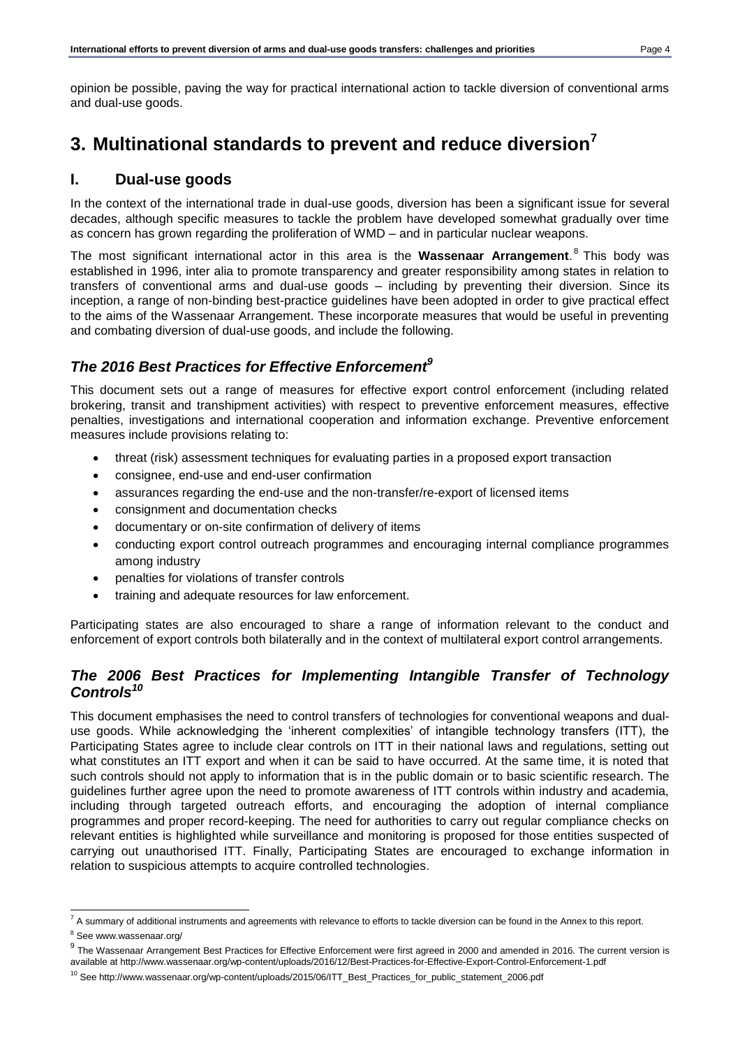opinion be possible, paving the way for practical international action to tackle diversion of conventional arms and dual-use goods.

# <span id="page-3-0"></span>**3. Multinational standards to prevent and reduce diversion<sup>7</sup>**

## **I. Dual-use goods**

In the context of the international trade in dual-use goods, diversion has been a significant issue for several decades, although specific measures to tackle the problem have developed somewhat gradually over time as concern has grown regarding the proliferation of WMD – and in particular nuclear weapons.

The most significant international actor in this area is the Wassenaar Arrangement.<sup>8</sup> This body was established in 1996, inter alia to promote transparency and greater responsibility among states in relation to transfers of conventional arms and dual-use goods – including by preventing their diversion. Since its inception, a range of non-binding best-practice guidelines have been adopted in order to give practical effect to the aims of the Wassenaar Arrangement. These incorporate measures that would be useful in preventing and combating diversion of dual-use goods, and include the following.

## *The 2016 Best Practices for Effective Enforcement<sup>9</sup>*

This document sets out a range of measures for effective export control enforcement (including related brokering, transit and transhipment activities) with respect to preventive enforcement measures, effective penalties, investigations and international cooperation and information exchange. Preventive enforcement measures include provisions relating to:

- threat (risk) assessment techniques for evaluating parties in a proposed export transaction
- consignee, end-use and end-user confirmation
- assurances regarding the end-use and the non-transfer/re-export of licensed items
- consignment and documentation checks
- documentary or on-site confirmation of delivery of items
- conducting export control outreach programmes and encouraging internal compliance programmes among industry
- penalties for violations of transfer controls
- training and adequate resources for law enforcement.

Participating states are also encouraged to share a range of information relevant to the conduct and enforcement of export controls both bilaterally and in the context of multilateral export control arrangements.

## *The 2006 Best Practices for Implementing Intangible Transfer of Technology Controls<sup>10</sup>*

This document emphasises the need to control transfers of technologies for conventional weapons and dualuse goods. While acknowledging the 'inherent complexities' of intangible technology transfers (ITT), the Participating States agree to include clear controls on ITT in their national laws and regulations, setting out what constitutes an ITT export and when it can be said to have occurred. At the same time, it is noted that such controls should not apply to information that is in the public domain or to basic scientific research. The guidelines further agree upon the need to promote awareness of ITT controls within industry and academia, including through targeted outreach efforts, and encouraging the adoption of internal compliance programmes and proper record-keeping. The need for authorities to carry out regular compliance checks on relevant entities is highlighted while surveillance and monitoring is proposed for those entities suspected of carrying out unauthorised ITT. Finally, Participating States are encouraged to exchange information in relation to suspicious attempts to acquire controlled technologies.

 $^7$  A summary of additional instruments and agreements with relevance to efforts to tackle diversion can be found in the Annex to this report.

<sup>&</sup>lt;sup>8</sup> See www.wassenaar.org/

<sup>&</sup>lt;sup>9</sup> The Wassenaar Arrangement Best Practices for Effective Enforcement were first agreed in 2000 and amended in 2016. The current version is available a[t http://www.wassenaar.org/wp-content/uploads/2016/12/Best-Practices-for-Effective-Export-Control-Enforcement-1.pdf](http://www.wassenaar.org/wp-content/uploads/2016/12/Best-Practices-for-Effective-Export-Control-Enforcement-1.pdf)

<sup>10</sup> See [http://www.wassenaar.org/wp-content/uploads/2015/06/ITT\\_Best\\_Practices\\_for\\_public\\_statement\\_2006.pdf](http://www.wassenaar.org/wp-content/uploads/2015/06/ITT_Best_Practices_for_public_statement_2006.pdf)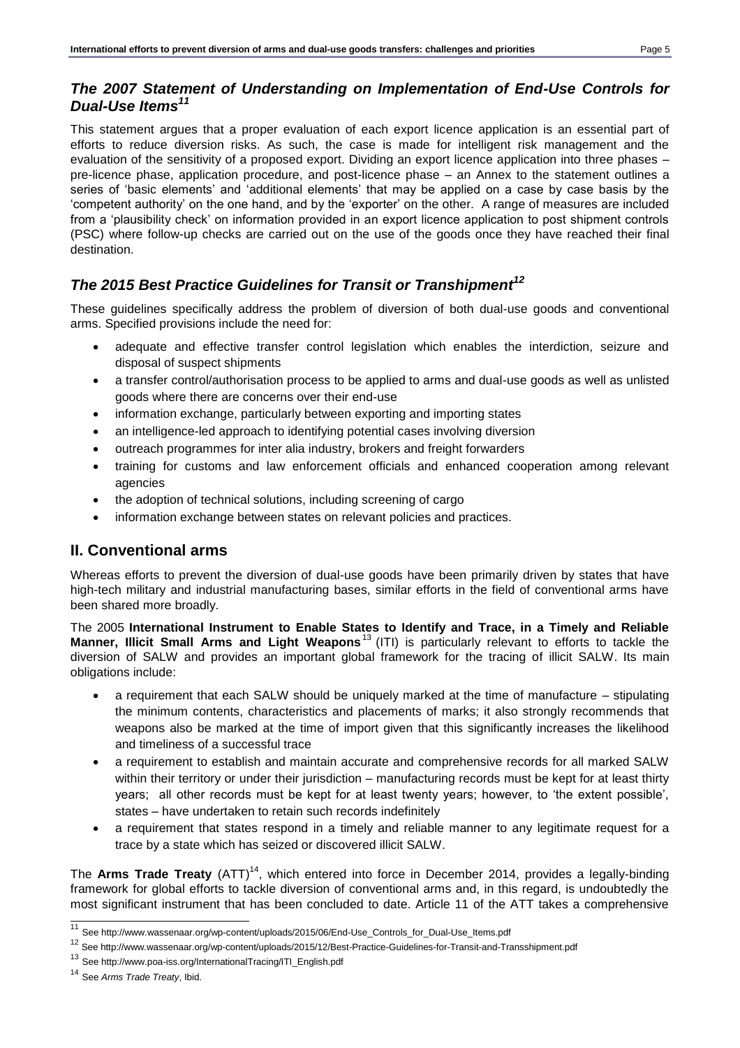## *The 2007 Statement of Understanding on Implementation of End-Use Controls for Dual-Use Items<sup>11</sup>*

This statement argues that a proper evaluation of each export licence application is an essential part of efforts to reduce diversion risks. As such, the case is made for intelligent risk management and the evaluation of the sensitivity of a proposed export. Dividing an export licence application into three phases – pre-licence phase, application procedure, and post-licence phase – an Annex to the statement outlines a series of 'basic elements' and 'additional elements' that may be applied on a case by case basis by the 'competent authority' on the one hand, and by the 'exporter' on the other. A range of measures are included from a 'plausibility check' on information provided in an export licence application to post shipment controls (PSC) where follow-up checks are carried out on the use of the goods once they have reached their final destination.

# *The 2015 Best Practice Guidelines for Transit or Transhipment<sup>12</sup>*

These guidelines specifically address the problem of diversion of both dual-use goods and conventional arms. Specified provisions include the need for:

- adequate and effective transfer control legislation which enables the interdiction, seizure and disposal of suspect shipments
- a transfer control/authorisation process to be applied to arms and dual-use goods as well as unlisted goods where there are concerns over their end-use
- information exchange, particularly between exporting and importing states
- an intelligence-led approach to identifying potential cases involving diversion
- outreach programmes for inter alia industry, brokers and freight forwarders
- training for customs and law enforcement officials and enhanced cooperation among relevant agencies
- the adoption of technical solutions, including screening of cargo
- information exchange between states on relevant policies and practices.

# **II. Conventional arms**

Whereas efforts to prevent the diversion of dual-use goods have been primarily driven by states that have high-tech military and industrial manufacturing bases, similar efforts in the field of conventional arms have been shared more broadly.

The 2005 **International Instrument to Enable States to Identify and Trace, in a Timely and Reliable**  Manner, Illicit Small Arms and Light Weapons<sup>13</sup> (ITI) is particularly relevant to efforts to tackle the diversion of SALW and provides an important global framework for the tracing of illicit SALW. Its main obligations include:

- a requirement that each SALW should be uniquely marked at the time of manufacture stipulating the minimum contents, characteristics and placements of marks; it also strongly recommends that weapons also be marked at the time of import given that this significantly increases the likelihood and timeliness of a successful trace
- a requirement to establish and maintain accurate and comprehensive records for all marked SALW within their territory or under their jurisdiction – manufacturing records must be kept for at least thirty years; all other records must be kept for at least twenty years; however, to 'the extent possible', states – have undertaken to retain such records indefinitely
- a requirement that states respond in a timely and reliable manner to any legitimate request for a trace by a state which has seized or discovered illicit SALW.

The Arms Trade Treaty (ATT)<sup>14</sup>, which entered into force in December 2014, provides a legally-binding framework for global efforts to tackle diversion of conventional arms and, in this regard, is undoubtedly the most significant instrument that has been concluded to date. Article 11 of the ATT takes a comprehensive

 $\overline{a}$ <sup>11</sup> Se[e http://www.wassenaar.org/wp-content/uploads/2015/06/End-Use\\_Controls\\_for\\_Dual-Use\\_Items.pdf](http://www.wassenaar.org/wp-content/uploads/2015/06/End-Use_Controls_for_Dual-Use_Items.pdf)

<sup>12</sup> See<http://www.wassenaar.org/wp-content/uploads/2015/12/Best-Practice-Guidelines-for-Transit-and-Transshipment.pdf>

<sup>13</sup> Se[e http://www.poa-iss.org/InternationalTracing/ITI\\_English.pdf](http://www.poa-iss.org/InternationalTracing/ITI_English.pdf)

<sup>14</sup> See *Arms Trade Treaty*, Ibid.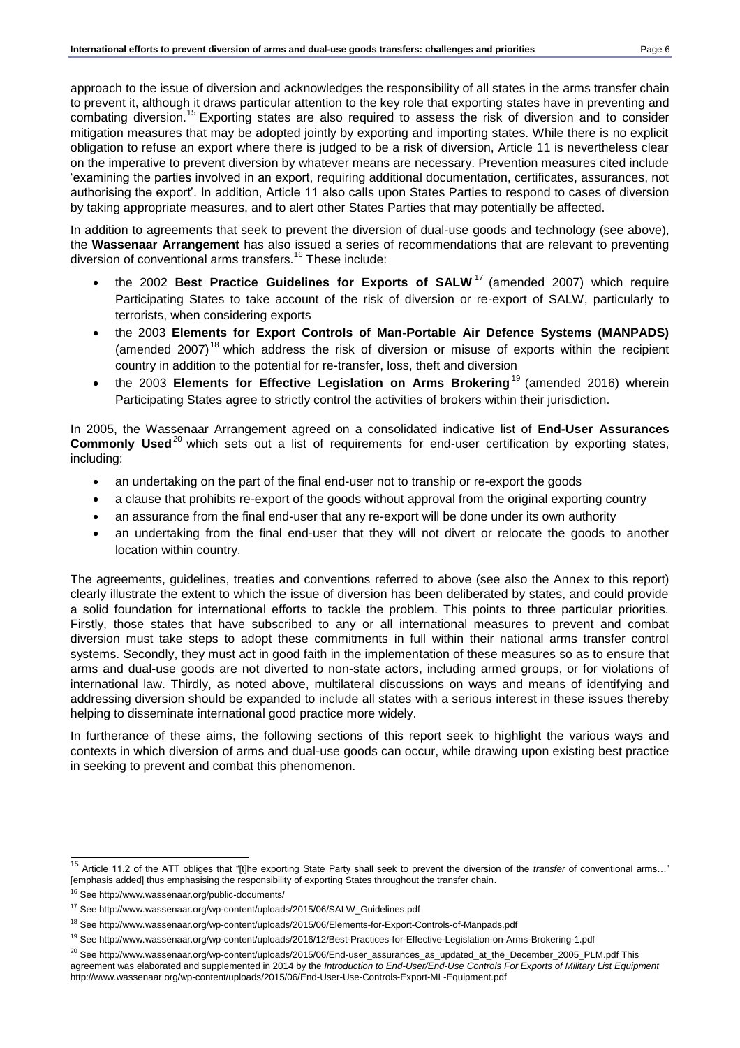approach to the issue of diversion and acknowledges the responsibility of all states in the arms transfer chain to prevent it, although it draws particular attention to the key role that exporting states have in preventing and combating diversion.<sup>15</sup> Exporting states are also required to assess the risk of diversion and to consider mitigation measures that may be adopted jointly by exporting and importing states. While there is no explicit obligation to refuse an export where there is judged to be a risk of diversion, Article 11 is nevertheless clear on the imperative to prevent diversion by whatever means are necessary. Prevention measures cited include 'examining the parties involved in an export, requiring additional documentation, certificates, assurances, not authorising the export'. In addition, Article 11 also calls upon States Parties to respond to cases of diversion by taking appropriate measures, and to alert other States Parties that may potentially be affected.

In addition to agreements that seek to prevent the diversion of dual-use goods and technology (see above), the **Wassenaar Arrangement** has also issued a series of recommendations that are relevant to preventing diversion of conventional arms transfers.<sup>16</sup> These include:

- the 2002 **Best Practice Guidelines for Exports of SALW**<sup>17</sup> (amended 2007) which require Participating States to take account of the risk of diversion or re-export of SALW, particularly to terrorists, when considering exports
- the 2003 **Elements for Export Controls of Man-Portable Air Defence Systems (MANPADS)** (amended 2007)<sup>18</sup> which address the risk of diversion or misuse of exports within the recipient country in addition to the potential for re-transfer, loss, theft and diversion
- the 2003 Elements for Effective Legislation on Arms Brokering<sup>19</sup> (amended 2016) wherein Participating States agree to strictly control the activities of brokers within their jurisdiction.

In 2005, the Wassenaar Arrangement agreed on a consolidated indicative list of **End-User Assurances Commonly Used**<sup>20</sup> which sets out a list of requirements for end-user certification by exporting states, including:

- an undertaking on the part of the final end-user not to tranship or re-export the goods
- a clause that prohibits re-export of the goods without approval from the original exporting country
- an assurance from the final end-user that any re-export will be done under its own authority
- an undertaking from the final end-user that they will not divert or relocate the goods to another location within country.

The agreements, guidelines, treaties and conventions referred to above (see also the Annex to this report) clearly illustrate the extent to which the issue of diversion has been deliberated by states, and could provide a solid foundation for international efforts to tackle the problem. This points to three particular priorities. Firstly, those states that have subscribed to any or all international measures to prevent and combat diversion must take steps to adopt these commitments in full within their national arms transfer control systems. Secondly, they must act in good faith in the implementation of these measures so as to ensure that arms and dual-use goods are not diverted to non-state actors, including armed groups, or for violations of international law. Thirdly, as noted above, multilateral discussions on ways and means of identifying and addressing diversion should be expanded to include all states with a serious interest in these issues thereby helping to disseminate international good practice more widely.

In furtherance of these aims, the following sections of this report seek to highlight the various ways and contexts in which diversion of arms and dual-use goods can occur, while drawing upon existing best practice in seeking to prevent and combat this phenomenon.

 $\overline{a}$ <sup>15</sup> Article 11.2 of the ATT obliges that "[t]he exporting State Party shall seek to prevent the diversion of the *transfer* of conventional arms…" [emphasis added] thus emphasising the responsibility of exporting States throughout the transfer chain.

<sup>16</sup> See<http://www.wassenaar.org/public-documents/>

<sup>17</sup> See [http://www.wassenaar.org/wp-content/uploads/2015/06/SALW\\_Guidelines.pdf](http://www.wassenaar.org/wp-content/uploads/2015/06/SALW_Guidelines.pdf)

<sup>18</sup> See<http://www.wassenaar.org/wp-content/uploads/2015/06/Elements-for-Export-Controls-of-Manpads.pdf>

<sup>19</sup> See<http://www.wassenaar.org/wp-content/uploads/2016/12/Best-Practices-for-Effective-Legislation-on-Arms-Brokering-1.pdf>

<sup>&</sup>lt;sup>20</sup> See [http://www.wassenaar.org/wp-content/uploads/2015/06/End-user\\_assurances\\_as\\_updated\\_at\\_the\\_December\\_2005\\_PLM.pdf](http://www.wassenaar.org/wp-content/uploads/2015/06/End-user_assurances_as_updated_at_the_December_2005_PLM.pdf) This agreement was elaborated and supplemented in 2014 by the *Introduction to End-User/End-Use Controls For Exports of Military List Equipment*  <http://www.wassenaar.org/wp-content/uploads/2015/06/End-User-Use-Controls-Export-ML-Equipment.pdf>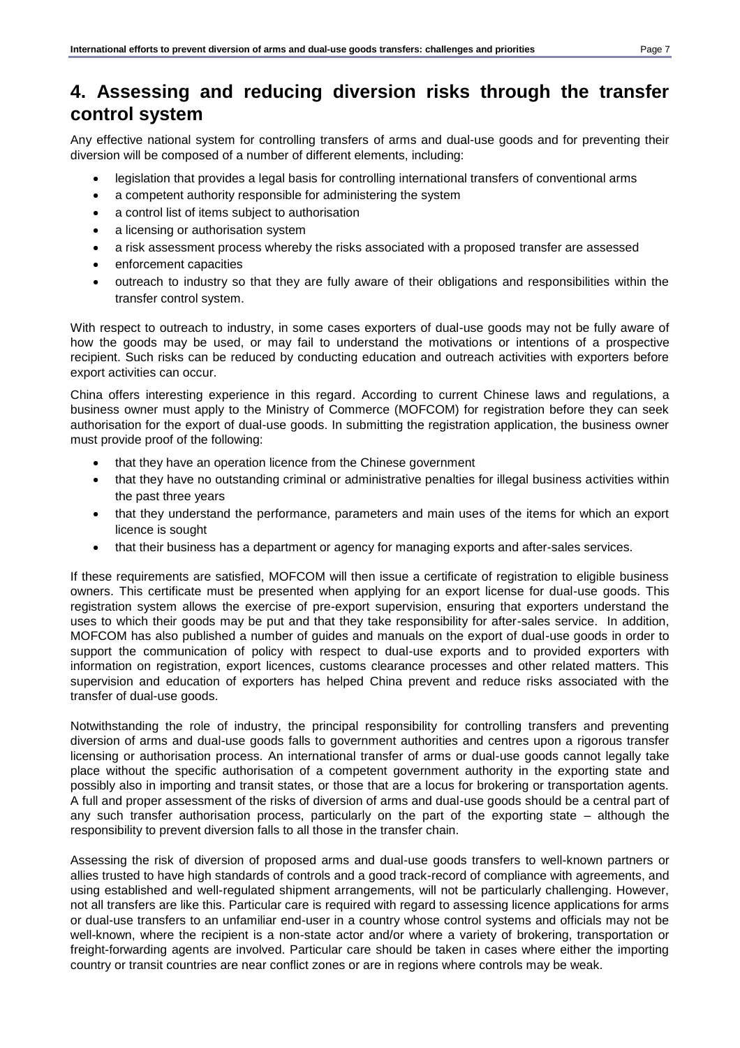# <span id="page-6-0"></span>**4. Assessing and reducing diversion risks through the transfer control system**

Any effective national system for controlling transfers of arms and dual-use goods and for preventing their diversion will be composed of a number of different elements, including:

- legislation that provides a legal basis for controlling international transfers of conventional arms
- a competent authority responsible for administering the system
- a control list of items subject to authorisation
- a licensing or authorisation system
- a risk assessment process whereby the risks associated with a proposed transfer are assessed
- enforcement capacities
- outreach to industry so that they are fully aware of their obligations and responsibilities within the transfer control system.

With respect to outreach to industry, in some cases exporters of dual-use goods may not be fully aware of how the goods may be used, or may fail to understand the motivations or intentions of a prospective recipient. Such risks can be reduced by conducting education and outreach activities with exporters before export activities can occur.

China offers interesting experience in this regard. According to current Chinese laws and regulations, a business owner must apply to the Ministry of Commerce (MOFCOM) for registration before they can seek authorisation for the export of dual-use goods. In submitting the registration application, the business owner must provide proof of the following:

- that they have an operation licence from the Chinese government
- that they have no outstanding criminal or administrative penalties for illegal business activities within the past three years
- that they understand the performance, parameters and main uses of the items for which an export licence is sought
- that their business has a department or agency for managing exports and after-sales services.

If these requirements are satisfied, MOFCOM will then issue a certificate of registration to eligible business owners. This certificate must be presented when applying for an export license for dual-use goods. This registration system allows the exercise of pre-export supervision, ensuring that exporters understand the uses to which their goods may be put and that they take responsibility for after-sales service. In addition, MOFCOM has also published a number of guides and manuals on the export of dual-use goods in order to support the communication of policy with respect to dual-use exports and to provided exporters with information on registration, export licences, customs clearance processes and other related matters. This supervision and education of exporters has helped China prevent and reduce risks associated with the transfer of dual-use goods.

Notwithstanding the role of industry, the principal responsibility for controlling transfers and preventing diversion of arms and dual-use goods falls to government authorities and centres upon a rigorous transfer licensing or authorisation process. An international transfer of arms or dual-use goods cannot legally take place without the specific authorisation of a competent government authority in the exporting state and possibly also in importing and transit states, or those that are a locus for brokering or transportation agents. A full and proper assessment of the risks of diversion of arms and dual-use goods should be a central part of any such transfer authorisation process, particularly on the part of the exporting state – although the responsibility to prevent diversion falls to all those in the transfer chain.

Assessing the risk of diversion of proposed arms and dual-use goods transfers to well-known partners or allies trusted to have high standards of controls and a good track-record of compliance with agreements, and using established and well-regulated shipment arrangements, will not be particularly challenging. However, not all transfers are like this. Particular care is required with regard to assessing licence applications for arms or dual-use transfers to an unfamiliar end-user in a country whose control systems and officials may not be well-known, where the recipient is a non-state actor and/or where a variety of brokering, transportation or freight-forwarding agents are involved. Particular care should be taken in cases where either the importing country or transit countries are near conflict zones or are in regions where controls may be weak.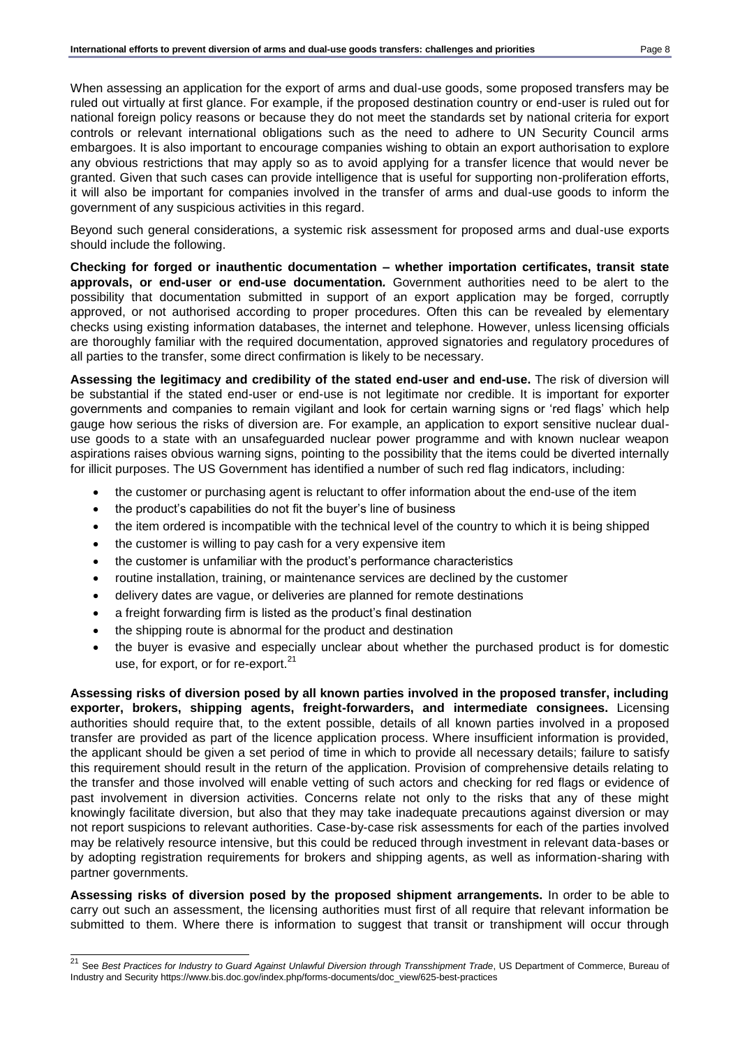When assessing an application for the export of arms and dual-use goods, some proposed transfers may be ruled out virtually at first glance. For example, if the proposed destination country or end-user is ruled out for national foreign policy reasons or because they do not meet the standards set by national criteria for export controls or relevant international obligations such as the need to adhere to UN Security Council arms embargoes. It is also important to encourage companies wishing to obtain an export authorisation to explore any obvious restrictions that may apply so as to avoid applying for a transfer licence that would never be granted. Given that such cases can provide intelligence that is useful for supporting non-proliferation efforts, it will also be important for companies involved in the transfer of arms and dual-use goods to inform the government of any suspicious activities in this regard.

Beyond such general considerations, a systemic risk assessment for proposed arms and dual-use exports should include the following.

**Checking for forged or inauthentic documentation – whether importation certificates, transit state approvals, or end-user or end-use documentation***.* Government authorities need to be alert to the possibility that documentation submitted in support of an export application may be forged, corruptly approved, or not authorised according to proper procedures. Often this can be revealed by elementary checks using existing information databases, the internet and telephone. However, unless licensing officials are thoroughly familiar with the required documentation, approved signatories and regulatory procedures of all parties to the transfer, some direct confirmation is likely to be necessary.

**Assessing the legitimacy and credibility of the stated end-user and end-use.** The risk of diversion will be substantial if the stated end-user or end-use is not legitimate nor credible. It is important for exporter governments and companies to remain vigilant and look for certain warning signs or 'red flags' which help gauge how serious the risks of diversion are. For example, an application to export sensitive nuclear dualuse goods to a state with an unsafeguarded nuclear power programme and with known nuclear weapon aspirations raises obvious warning signs, pointing to the possibility that the items could be diverted internally for illicit purposes. The US Government has identified a number of such red flag indicators, including:

- the customer or purchasing agent is reluctant to offer information about the end-use of the item
- the product's capabilities do not fit the buyer's line of business
- the item ordered is incompatible with the technical level of the country to which it is being shipped
- the customer is willing to pay cash for a very expensive item
- the customer is unfamiliar with the product's performance characteristics
- routine installation, training, or maintenance services are declined by the customer
- delivery dates are vague, or deliveries are planned for remote destinations
- a freight forwarding firm is listed as the product's final destination
- the shipping route is abnormal for the product and destination
- the buyer is evasive and especially unclear about whether the purchased product is for domestic use, for export, or for re-export.<sup>21</sup>

**Assessing risks of diversion posed by all known parties involved in the proposed transfer, including exporter, brokers, shipping agents, freight-forwarders, and intermediate consignees.** Licensing authorities should require that, to the extent possible, details of all known parties involved in a proposed transfer are provided as part of the licence application process. Where insufficient information is provided, the applicant should be given a set period of time in which to provide all necessary details; failure to satisfy this requirement should result in the return of the application. Provision of comprehensive details relating to the transfer and those involved will enable vetting of such actors and checking for red flags or evidence of past involvement in diversion activities. Concerns relate not only to the risks that any of these might knowingly facilitate diversion, but also that they may take inadequate precautions against diversion or may not report suspicions to relevant authorities. Case-by-case risk assessments for each of the parties involved may be relatively resource intensive, but this could be reduced through investment in relevant data-bases or by adopting registration requirements for brokers and shipping agents, as well as information-sharing with partner governments.

**Assessing risks of diversion posed by the proposed shipment arrangements.** In order to be able to carry out such an assessment, the licensing authorities must first of all require that relevant information be submitted to them. Where there is information to suggest that transit or transhipment will occur through

 $\overline{a}$ <sup>21</sup> See *Best Practices for Industry to Guard Against Unlawful Diversion through Transshipment Trade, US Department of Commerce, Bureau of* Industry and Securit[y https://www.bis.doc.gov/index.php/forms-documents/doc\\_view/625-best-practices](https://www.bis.doc.gov/index.php/forms-documents/doc_view/625-best-practices)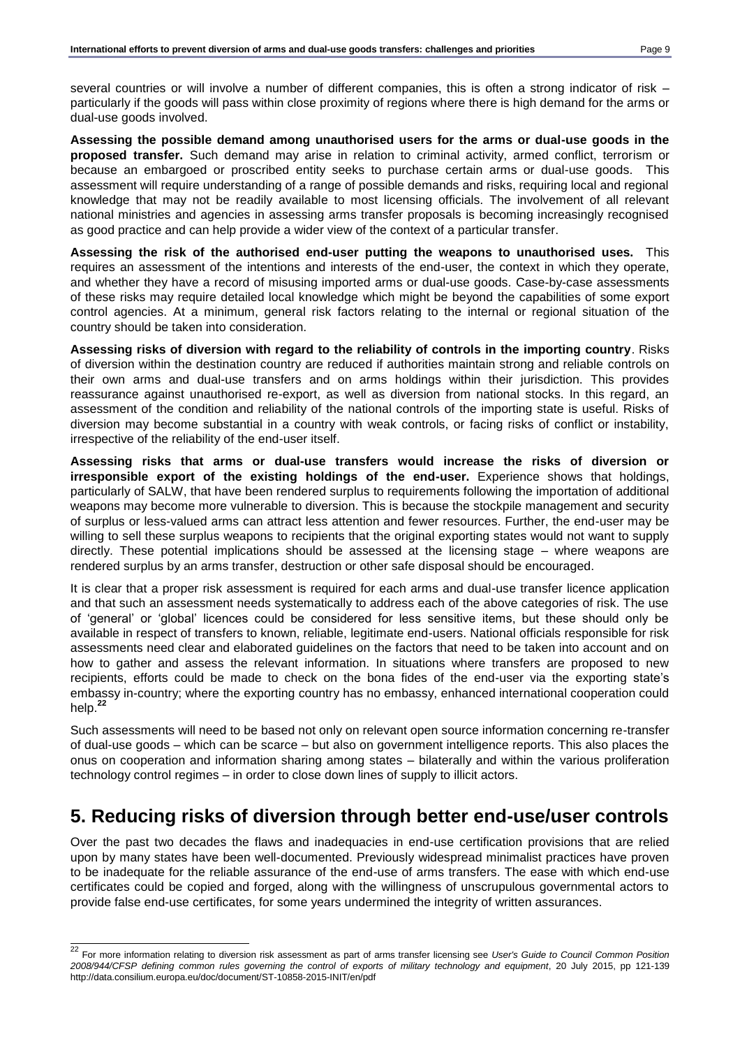several countries or will involve a number of different companies, this is often a strong indicator of risk – particularly if the goods will pass within close proximity of regions where there is high demand for the arms or dual-use goods involved.

**Assessing the possible demand among unauthorised users for the arms or dual-use goods in the proposed transfer.** Such demand may arise in relation to criminal activity, armed conflict, terrorism or because an embargoed or proscribed entity seeks to purchase certain arms or dual-use goods. This assessment will require understanding of a range of possible demands and risks, requiring local and regional knowledge that may not be readily available to most licensing officials. The involvement of all relevant national ministries and agencies in assessing arms transfer proposals is becoming increasingly recognised as good practice and can help provide a wider view of the context of a particular transfer.

**Assessing the risk of the authorised end-user putting the weapons to unauthorised uses.** This requires an assessment of the intentions and interests of the end-user, the context in which they operate, and whether they have a record of misusing imported arms or dual-use goods. Case-by-case assessments of these risks may require detailed local knowledge which might be beyond the capabilities of some export control agencies. At a minimum, general risk factors relating to the internal or regional situation of the country should be taken into consideration.

**Assessing risks of diversion with regard to the reliability of controls in the importing country**. Risks of diversion within the destination country are reduced if authorities maintain strong and reliable controls on their own arms and dual-use transfers and on arms holdings within their jurisdiction. This provides reassurance against unauthorised re-export, as well as diversion from national stocks. In this regard, an assessment of the condition and reliability of the national controls of the importing state is useful. Risks of diversion may become substantial in a country with weak controls, or facing risks of conflict or instability, irrespective of the reliability of the end-user itself.

**Assessing risks that arms or dual-use transfers would increase the risks of diversion or irresponsible export of the existing holdings of the end-user.** Experience shows that holdings, particularly of SALW, that have been rendered surplus to requirements following the importation of additional weapons may become more vulnerable to diversion. This is because the stockpile management and security of surplus or less-valued arms can attract less attention and fewer resources. Further, the end-user may be willing to sell these surplus weapons to recipients that the original exporting states would not want to supply directly. These potential implications should be assessed at the licensing stage – where weapons are rendered surplus by an arms transfer, destruction or other safe disposal should be encouraged.

It is clear that a proper risk assessment is required for each arms and dual-use transfer licence application and that such an assessment needs systematically to address each of the above categories of risk. The use of 'general' or 'global' licences could be considered for less sensitive items, but these should only be available in respect of transfers to known, reliable, legitimate end-users. National officials responsible for risk assessments need clear and elaborated guidelines on the factors that need to be taken into account and on how to gather and assess the relevant information. In situations where transfers are proposed to new recipients, efforts could be made to check on the bona fides of the end-user via the exporting state's embassy in-country; where the exporting country has no embassy, enhanced international cooperation could help.**<sup>22</sup>**

Such assessments will need to be based not only on relevant open source information concerning re-transfer of dual-use goods – which can be scarce – but also on government intelligence reports. This also places the onus on cooperation and information sharing among states – bilaterally and within the various proliferation technology control regimes – in order to close down lines of supply to illicit actors.

# <span id="page-8-0"></span>**5. Reducing risks of diversion through better end-use/user controls**

Over the past two decades the flaws and inadequacies in end-use certification provisions that are relied upon by many states have been well-documented. Previously widespread minimalist practices have proven to be inadequate for the reliable assurance of the end-use of arms transfers. The ease with which end-use certificates could be copied and forged, along with the willingness of unscrupulous governmental actors to provide false end-use certificates, for some years undermined the integrity of written assurances.

 $\overline{a}$ <sup>22</sup> For more information relating to diversion risk assessment as part of arms transfer licensing see *User's Guide to Council Common Position 2008/944/CFSP defining common rules governing the control of exports of military technology and equipment*, 20 July 2015, pp 121-139 <http://data.consilium.europa.eu/doc/document/ST-10858-2015-INIT/en/pdf>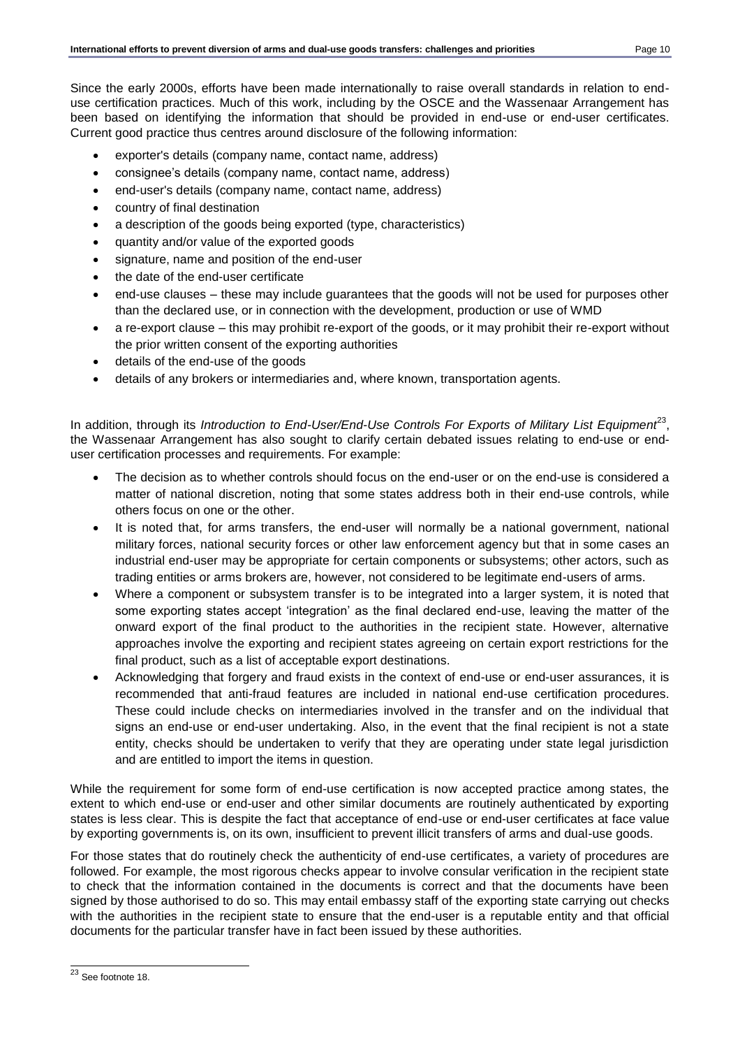Since the early 2000s, efforts have been made internationally to raise overall standards in relation to enduse certification practices. Much of this work, including by the OSCE and the Wassenaar Arrangement has been based on identifying the information that should be provided in end-use or end-user certificates. Current good practice thus centres around disclosure of the following information:

- exporter's details (company name, contact name, address)
- consignee's details (company name, contact name, address)
- end-user's details (company name, contact name, address)
- country of final destination
- a description of the goods being exported (type, characteristics)
- quantity and/or value of the exported goods
- signature, name and position of the end-user
- the date of the end-user certificate
- end-use clauses these may include guarantees that the goods will not be used for purposes other than the declared use, or in connection with the development, production or use of WMD
- a re-export clause this may prohibit re-export of the goods, or it may prohibit their re-export without the prior written consent of the exporting authorities
- details of the end-use of the goods
- details of any brokers or intermediaries and, where known, transportation agents.

In addition, through its *Introduction to End-User/End-Use Controls For Exports of Military List Equipment<sup>23</sup>,* the Wassenaar Arrangement has also sought to clarify certain debated issues relating to end-use or enduser certification processes and requirements. For example:

- The decision as to whether controls should focus on the end-user or on the end-use is considered a matter of national discretion, noting that some states address both in their end-use controls, while others focus on one or the other.
- It is noted that, for arms transfers, the end-user will normally be a national government, national military forces, national security forces or other law enforcement agency but that in some cases an industrial end-user may be appropriate for certain components or subsystems; other actors, such as trading entities or arms brokers are, however, not considered to be legitimate end-users of arms.
- Where a component or subsystem transfer is to be integrated into a larger system, it is noted that some exporting states accept 'integration' as the final declared end-use, leaving the matter of the onward export of the final product to the authorities in the recipient state. However, alternative approaches involve the exporting and recipient states agreeing on certain export restrictions for the final product, such as a list of acceptable export destinations.
- Acknowledging that forgery and fraud exists in the context of end-use or end-user assurances, it is recommended that anti-fraud features are included in national end-use certification procedures. These could include checks on intermediaries involved in the transfer and on the individual that signs an end-use or end-user undertaking. Also, in the event that the final recipient is not a state entity, checks should be undertaken to verify that they are operating under state legal jurisdiction and are entitled to import the items in question.

While the requirement for some form of end-use certification is now accepted practice among states, the extent to which end-use or end-user and other similar documents are routinely authenticated by exporting states is less clear. This is despite the fact that acceptance of end-use or end-user certificates at face value by exporting governments is, on its own, insufficient to prevent illicit transfers of arms and dual-use goods.

For those states that do routinely check the authenticity of end-use certificates, a variety of procedures are followed. For example, the most rigorous checks appear to involve consular verification in the recipient state to check that the information contained in the documents is correct and that the documents have been signed by those authorised to do so. This may entail embassy staff of the exporting state carrying out checks with the authorities in the recipient state to ensure that the end-user is a reputable entity and that official documents for the particular transfer have in fact been issued by these authorities.

 $\overline{a}$ <sup>23</sup> See footnote 18.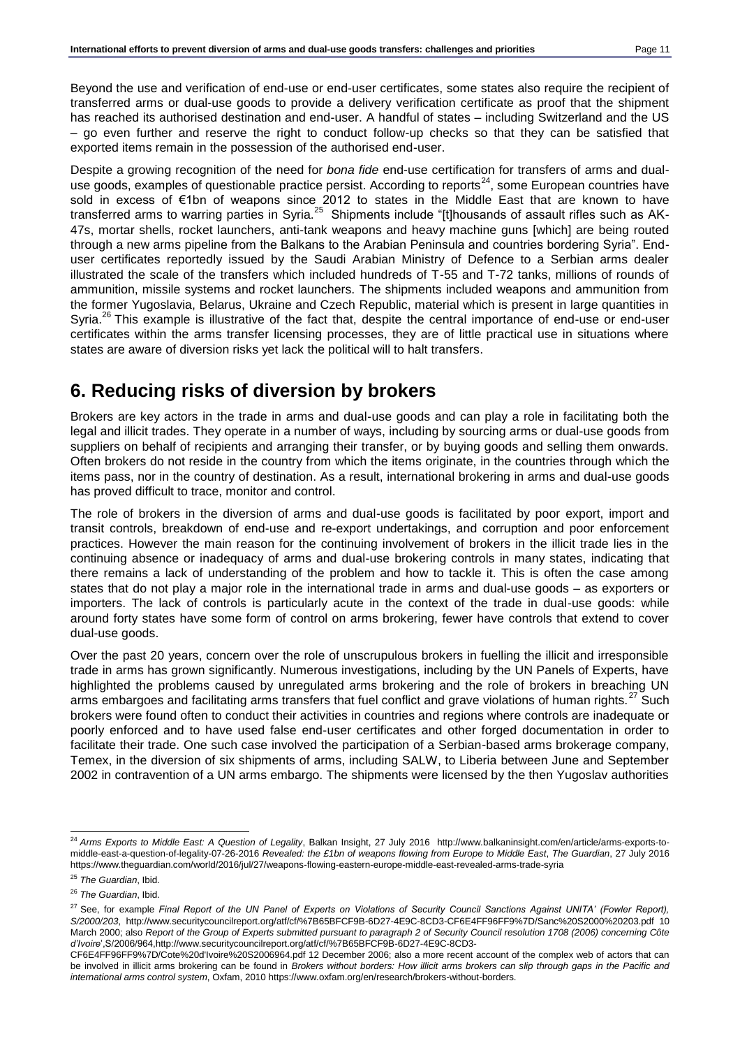Beyond the use and verification of end-use or end-user certificates, some states also require the recipient of transferred arms or dual-use goods to provide a delivery verification certificate as proof that the shipment has reached its authorised destination and end-user. A handful of states – including Switzerland and the US – go even further and reserve the right to conduct follow-up checks so that they can be satisfied that exported items remain in the possession of the authorised end-user.

Despite a growing recognition of the need for *bona fide* end-use certification for transfers of arms and dualuse goods, examples of questionable practice persist. According to reports<sup>24</sup>, some European countries have sold in excess of €1bn of weapons since 2012 to states in the Middle East that are known to have transferred arms to warring parties in Syria.<sup>25</sup> Shipments include "[t]housands of assault rifles such as AK-47s, mortar shells, rocket launchers, anti-tank weapons and heavy machine guns [which] are being routed through a new arms pipeline from the Balkans to the Arabian Peninsula and countries bordering Syria". Enduser certificates reportedly issued by the Saudi Arabian Ministry of Defence to a Serbian arms dealer illustrated the scale of the transfers which included hundreds of T-55 and T-72 tanks, millions of rounds of ammunition, missile systems and rocket launchers. The shipments included weapons and ammunition from the former Yugoslavia, Belarus, Ukraine and Czech Republic, material which is present in large quantities in Syria.<sup>26</sup> This example is illustrative of the fact that, despite the central importance of end-use or end-user certificates within the arms transfer licensing processes, they are of little practical use in situations where states are aware of diversion risks yet lack the political will to halt transfers.

# <span id="page-10-0"></span>**6. Reducing risks of diversion by brokers**

Brokers are key actors in the trade in arms and dual-use goods and can play a role in facilitating both the legal and illicit trades. They operate in a number of ways, including by sourcing arms or dual-use goods from suppliers on behalf of recipients and arranging their transfer, or by buying goods and selling them onwards. Often brokers do not reside in the country from which the items originate, in the countries through which the items pass, nor in the country of destination. As a result, international brokering in arms and dual-use goods has proved difficult to trace, monitor and control.

The role of brokers in the diversion of arms and dual-use goods is facilitated by poor export, import and transit controls, breakdown of end-use and re-export undertakings, and corruption and poor enforcement practices. However the main reason for the continuing involvement of brokers in the illicit trade lies in the continuing absence or inadequacy of arms and dual-use brokering controls in many states, indicating that there remains a lack of understanding of the problem and how to tackle it. This is often the case among states that do not play a major role in the international trade in arms and dual-use goods – as exporters or importers. The lack of controls is particularly acute in the context of the trade in dual-use goods: while around forty states have some form of control on arms brokering, fewer have controls that extend to cover dual-use goods.

Over the past 20 years, concern over the role of unscrupulous brokers in fuelling the illicit and irresponsible trade in arms has grown significantly. Numerous investigations, including by the UN Panels of Experts, have highlighted the problems caused by unregulated arms brokering and the role of brokers in breaching UN arms embargoes and facilitating arms transfers that fuel conflict and grave violations of human rights.<sup>27</sup> Such brokers were found often to conduct their activities in countries and regions where controls are inadequate or poorly enforced and to have used false end-user certificates and other forged documentation in order to facilitate their trade. One such case involved the participation of a Serbian-based arms brokerage company, Temex, in the diversion of six shipments of arms, including SALW, to Liberia between June and September 2002 in contravention of a UN arms embargo. The shipments were licensed by the then Yugoslav authorities

l <sup>24</sup> *Arms Exports to Middle East: A Question of Legality*, Balkan Insight, 27 July 2016 [http://www.balkaninsight.com/en/article/arms-exports-to](http://www.balkaninsight.com/en/article/arms-exports-to-middle-east-a-question-of-legality-07-26-2016)[middle-east-a-question-of-legality-07-26-2016](http://www.balkaninsight.com/en/article/arms-exports-to-middle-east-a-question-of-legality-07-26-2016) *Revealed: the £1bn of weapons flowing from Europe to Middle East*, *The Guardian*, 27 July 2016 <https://www.theguardian.com/world/2016/jul/27/weapons-flowing-eastern-europe-middle-east-revealed-arms-trade-syria>

<sup>25</sup> *The Guardian*, Ibid.

<sup>26</sup> *The Guardian*, Ibid.

<sup>27</sup> See, for example *Final Report of the UN Panel of Experts on Violations of Security Council Sanctions Against UNITA' (Fowler Report), S/2000/203*,<http://www.securitycouncilreport.org/atf/cf/%7B65BFCF9B-6D27-4E9C-8CD3-CF6E4FF96FF9%7D/Sanc%20S2000%20203.pdf> 10 March 2000; also *Report of the Group of Experts submitted pursuant to paragraph 2 of Security Council resolution 1708 (2006) concerning Côte d'Ivoire*',S/2006/96[4,http://www.securitycouncilreport.org/atf/cf/%7B65BFCF9B-6D27-4E9C-8CD3-](http://www.securitycouncilreport.org/atf/cf/%7B65BFCF9B-6D27-4E9C-8CD3-CF6E4FF96FF9%7D/Cote%20d)

[CF6E4FF96FF9%7D/Cote%20d'Ivoire%20S2006964.pdf](http://www.securitycouncilreport.org/atf/cf/%7B65BFCF9B-6D27-4E9C-8CD3-CF6E4FF96FF9%7D/Cote%20d) 12 December 2006; also a more recent account of the complex web of actors that can be involved in illicit arms brokering can be found in *Brokers without borders: How illicit arms brokers can slip through gaps in the Pacific and international arms control system*, Oxfam, 2010 [https://www.oxfam.org/en/research/brokers-without-borders.](https://www.oxfam.org/en/research/brokers-without-borders)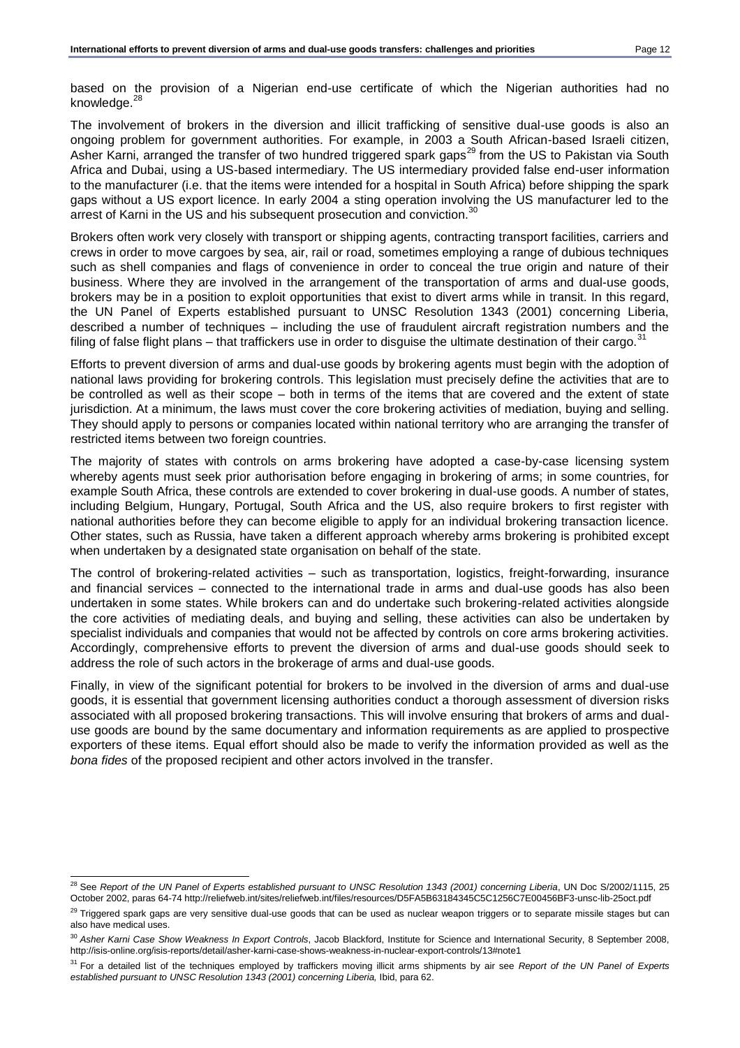based on the provision of a Nigerian end-use certificate of which the Nigerian authorities had no knowledge.<sup>28</sup>

The involvement of brokers in the diversion and illicit trafficking of sensitive dual-use goods is also an ongoing problem for government authorities. For example, in 2003 a South African-based Israeli citizen, Asher Karni, arranged the transfer of two hundred triggered spark gaps<sup>29</sup> from the US to Pakistan via South Africa and Dubai, using a US-based intermediary. The US intermediary provided false end-user information to the manufacturer (i.e. that the items were intended for a hospital in South Africa) before shipping the spark gaps without a US export licence. In early 2004 a sting operation involving the US manufacturer led to the arrest of Karni in the US and his subsequent prosecution and conviction.<sup>30</sup>

Brokers often work very closely with transport or shipping agents, contracting transport facilities, carriers and crews in order to move cargoes by sea, air, rail or road, sometimes employing a range of dubious techniques such as shell companies and flags of convenience in order to conceal the true origin and nature of their business. Where they are involved in the arrangement of the transportation of arms and dual-use goods, brokers may be in a position to exploit opportunities that exist to divert arms while in transit. In this regard, the UN Panel of Experts established pursuant to UNSC Resolution 1343 (2001) concerning Liberia, described a number of techniques – including the use of fraudulent aircraft registration numbers and the filing of false flight plans – that traffickers use in order to disguise the ultimate destination of their cargo. $31$ 

Efforts to prevent diversion of arms and dual-use goods by brokering agents must begin with the adoption of national laws providing for brokering controls. This legislation must precisely define the activities that are to be controlled as well as their scope – both in terms of the items that are covered and the extent of state jurisdiction. At a minimum, the laws must cover the core brokering activities of mediation, buying and selling. They should apply to persons or companies located within national territory who are arranging the transfer of restricted items between two foreign countries.

The majority of states with controls on arms brokering have adopted a case-by-case licensing system whereby agents must seek prior authorisation before engaging in brokering of arms; in some countries, for example South Africa, these controls are extended to cover brokering in dual-use goods. A number of states, including Belgium, Hungary, Portugal, South Africa and the US, also require brokers to first register with national authorities before they can become eligible to apply for an individual brokering transaction licence. Other states, such as Russia, have taken a different approach whereby arms brokering is prohibited except when undertaken by a designated state organisation on behalf of the state.

The control of brokering-related activities – such as transportation, logistics, freight-forwarding, insurance and financial services – connected to the international trade in arms and dual-use goods has also been undertaken in some states. While brokers can and do undertake such brokering-related activities alongside the core activities of mediating deals, and buying and selling, these activities can also be undertaken by specialist individuals and companies that would not be affected by controls on core arms brokering activities. Accordingly, comprehensive efforts to prevent the diversion of arms and dual-use goods should seek to address the role of such actors in the brokerage of arms and dual-use goods.

Finally, in view of the significant potential for brokers to be involved in the diversion of arms and dual-use goods, it is essential that government licensing authorities conduct a thorough assessment of diversion risks associated with all proposed brokering transactions. This will involve ensuring that brokers of arms and dualuse goods are bound by the same documentary and information requirements as are applied to prospective exporters of these items. Equal effort should also be made to verify the information provided as well as the *bona fides* of the proposed recipient and other actors involved in the transfer.

<sup>&</sup>lt;sup>28</sup> See *Report of the UN Panel of Experts established pursuant to UNSC Resolution 1343 (2001) concerning Liberia, UN Doc S/2002/1115, 25* October 2002, paras 64-7[4 http://reliefweb.int/sites/reliefweb.int/files/resources/D5FA5B63184345C5C1256C7E00456BF3-unsc-lib-25oct.pdf](http://reliefweb.int/sites/reliefweb.int/files/resources/D5FA5B63184345C5C1256C7E00456BF3-unsc-lib-25oct.pdf)

<sup>&</sup>lt;sup>29</sup> Triggered spark gaps are very sensitive dual-use goods that can be used as nuclear weapon triggers or to separate missile stages but can also have medical uses.

<sup>30</sup> *Asher Karni Case Show Weakness In Export Controls*, Jacob Blackford, Institute for Science and International Security, 8 September 2008, <http://isis-online.org/isis-reports/detail/asher-karni-case-shows-weakness-in-nuclear-export-controls/13#note1>

<sup>31</sup> For a detailed list of the techniques employed by traffickers moving illicit arms shipments by air see *Report of the UN Panel of Experts established pursuant to UNSC Resolution 1343 (2001) concerning Liberia,* Ibid, para 62.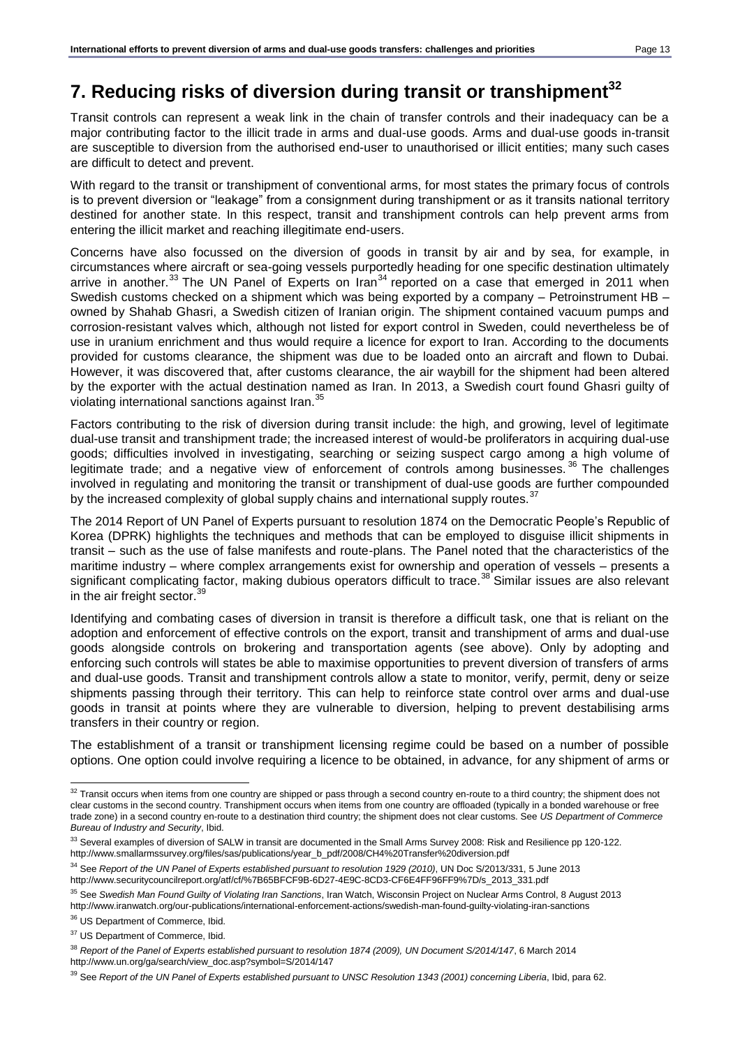# <span id="page-12-0"></span>**7. Reducing risks of diversion during transit or transhipment<sup>32</sup>**

Transit controls can represent a weak link in the chain of transfer controls and their inadequacy can be a major contributing factor to the illicit trade in arms and dual-use goods. Arms and dual-use goods in-transit are susceptible to diversion from the authorised end-user to unauthorised or illicit entities; many such cases are difficult to detect and prevent.

With regard to the transit or transhipment of conventional arms, for most states the primary focus of controls is to prevent diversion or "leakage" from a consignment during transhipment or as it transits national territory destined for another state. In this respect, transit and transhipment controls can help prevent arms from entering the illicit market and reaching illegitimate end-users.

Concerns have also focussed on the diversion of goods in transit by air and by sea, for example, in circumstances where aircraft or sea-going vessels purportedly heading for one specific destination ultimately arrive in another.<sup>33</sup> The UN Panel of Experts on Iran<sup>34</sup> reported on a case that emerged in 2011 when Swedish customs checked on a shipment which was being exported by a company – Petroinstrument HB – owned by Shahab Ghasri, a Swedish citizen of Iranian origin. The shipment contained vacuum pumps and corrosion-resistant valves which, although not listed for export control in Sweden, could nevertheless be of use in uranium enrichment and thus would require a licence for export to Iran. According to the documents provided for customs clearance, the shipment was due to be loaded onto an aircraft and flown to Dubai. However, it was discovered that, after customs clearance, the air waybill for the shipment had been altered by the exporter with the actual destination named as Iran. In 2013, a Swedish court found Ghasri guilty of violating international sanctions against Iran.<sup>35</sup>

Factors contributing to the risk of diversion during transit include: the high, and growing, level of legitimate dual-use transit and transhipment trade; the increased interest of would-be proliferators in acquiring dual-use goods; difficulties involved in investigating, searching or seizing suspect cargo among a high volume of legitimate trade; and a negative view of enforcement of controls among businesses.<sup>36</sup> The challenges involved in regulating and monitoring the transit or transhipment of dual-use goods are further compounded by the increased complexity of global supply chains and international supply routes.<sup>37</sup>

The 2014 Report of UN Panel of Experts pursuant to resolution 1874 on the Democratic People's Republic of Korea (DPRK) highlights the techniques and methods that can be employed to disguise illicit shipments in transit – such as the use of false manifests and route-plans. The Panel noted that the characteristics of the maritime industry – where complex arrangements exist for ownership and operation of vessels – presents a significant complicating factor, making dubious operators difficult to trace.<sup>38</sup> Similar issues are also relevant in the air freight sector. $\frac{3}{5}$ 

Identifying and combating cases of diversion in transit is therefore a difficult task, one that is reliant on the adoption and enforcement of effective controls on the export, transit and transhipment of arms and dual-use goods alongside controls on brokering and transportation agents (see above). Only by adopting and enforcing such controls will states be able to maximise opportunities to prevent diversion of transfers of arms and dual-use goods. Transit and transhipment controls allow a state to monitor, verify, permit, deny or seize shipments passing through their territory. This can help to reinforce state control over arms and dual-use goods in transit at points where they are vulnerable to diversion, helping to prevent destabilising arms transfers in their country or region.

The establishment of a transit or transhipment licensing regime could be based on a number of possible options. One option could involve requiring a licence to be obtained, in advance, for any shipment of arms or

 $32$  Transit occurs when items from one country are shipped or pass through a second country en-route to a third country; the shipment does not clear customs in the second country. Transhipment occurs when items from one country are offloaded (typically in a bonded warehouse or free trade zone) in a second country en-route to a destination third country; the shipment does not clear customs. See *US Department of Commerce Bureau of Industry and Security*, Ibid.

<sup>33</sup> Several examples of diversion of SALW in transit are documented in the Small Arms Survey 2008: Risk and Resilience pp 120-122. [http://www.smallarmssurvey.org/files/sas/publications/year\\_b\\_pdf/2008/CH4%20Transfer%20diversion.pdf](http://www.smallarmssurvey.org/files/sas/publications/year_b_pdf/2008/CH4%20Transfer%20diversion.pdf)

<sup>34</sup> See *Report of the UN Panel of Experts established pursuant to resolution 1929 (2010)*, UN Doc S/2013/331, 5 June 2013 [http://www.securitycouncilreport.org/atf/cf/%7B65BFCF9B-6D27-4E9C-8CD3-CF6E4FF96FF9%7D/s\\_2013\\_331.pdf](http://www.securitycouncilreport.org/atf/cf/%7B65BFCF9B-6D27-4E9C-8CD3-CF6E4FF96FF9%7D/s_2013_331.pdf)

<sup>35</sup> See *Swedish Man Found Guilty of Violating Iran Sanctions*, Iran Watch, Wisconsin Project on Nuclear Arms Control, 8 August 2013 <http://www.iranwatch.org/our-publications/international-enforcement-actions/swedish-man-found-guilty-violating-iran-sanctions>

<sup>36</sup> US Department of Commerce, Ibid.

<sup>&</sup>lt;sup>37</sup> US Department of Commerce, Ibid.

<sup>38</sup> *Report of the Panel of Experts established pursuant to resolution 1874 (2009), UN Document S/2014/147*, 6 March 2014 [http://www.un.org/ga/search/view\\_doc.asp?symbol=S/2014/147](http://www.un.org/ga/search/view_doc.asp?symbol=S/2014/147)

<sup>39</sup> See *Report of the UN Panel of Experts established pursuant to UNSC Resolution 1343 (2001) concerning Liberia*, Ibid, para 62.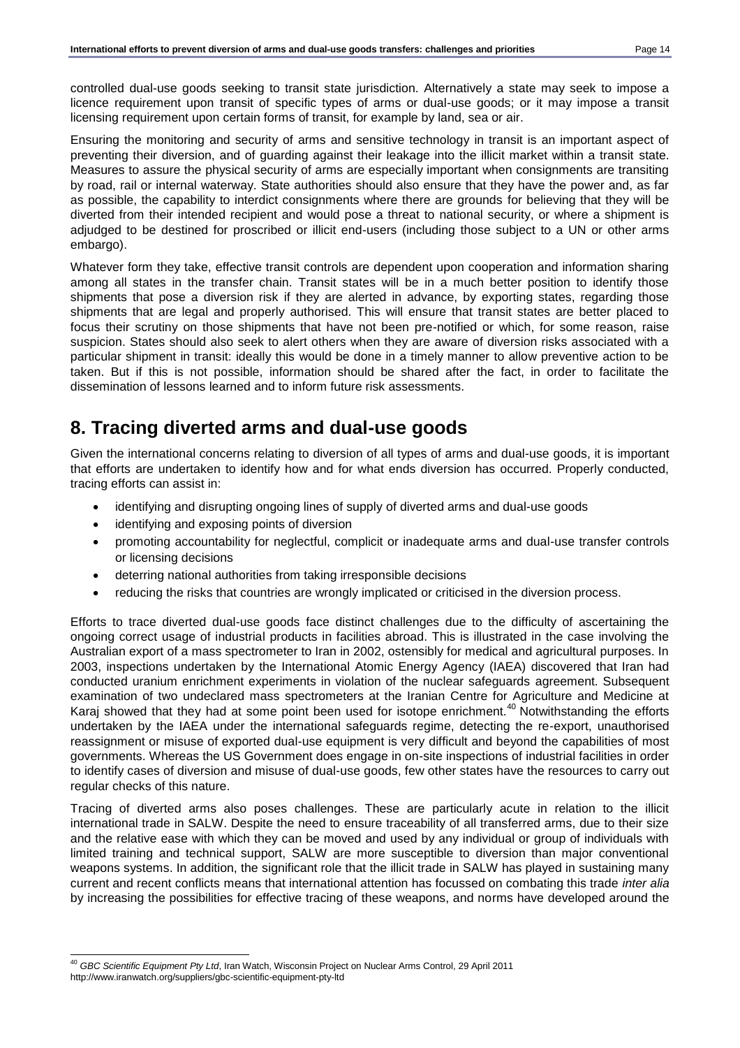controlled dual-use goods seeking to transit state jurisdiction. Alternatively a state may seek to impose a licence requirement upon transit of specific types of arms or dual-use goods; or it may impose a transit licensing requirement upon certain forms of transit, for example by land, sea or air.

Ensuring the monitoring and security of arms and sensitive technology in transit is an important aspect of preventing their diversion, and of guarding against their leakage into the illicit market within a transit state. Measures to assure the physical security of arms are especially important when consignments are transiting by road, rail or internal waterway. State authorities should also ensure that they have the power and, as far as possible, the capability to interdict consignments where there are grounds for believing that they will be diverted from their intended recipient and would pose a threat to national security, or where a shipment is adjudged to be destined for proscribed or illicit end-users (including those subject to a UN or other arms embargo).

Whatever form they take, effective transit controls are dependent upon cooperation and information sharing among all states in the transfer chain. Transit states will be in a much better position to identify those shipments that pose a diversion risk if they are alerted in advance, by exporting states, regarding those shipments that are legal and properly authorised. This will ensure that transit states are better placed to focus their scrutiny on those shipments that have not been pre-notified or which, for some reason, raise suspicion. States should also seek to alert others when they are aware of diversion risks associated with a particular shipment in transit: ideally this would be done in a timely manner to allow preventive action to be taken. But if this is not possible, information should be shared after the fact, in order to facilitate the dissemination of lessons learned and to inform future risk assessments.

# <span id="page-13-0"></span>**8. Tracing diverted arms and dual-use goods**

Given the international concerns relating to diversion of all types of arms and dual-use goods, it is important that efforts are undertaken to identify how and for what ends diversion has occurred. Properly conducted, tracing efforts can assist in:

- identifying and disrupting ongoing lines of supply of diverted arms and dual-use goods
- identifying and exposing points of diversion
- promoting accountability for neglectful, complicit or inadequate arms and dual-use transfer controls or licensing decisions
- deterring national authorities from taking irresponsible decisions
- reducing the risks that countries are wrongly implicated or criticised in the diversion process.

Efforts to trace diverted dual-use goods face distinct challenges due to the difficulty of ascertaining the ongoing correct usage of industrial products in facilities abroad. This is illustrated in the case involving the Australian export of a mass spectrometer to Iran in 2002, ostensibly for medical and agricultural purposes. In 2003, inspections undertaken by the International Atomic Energy Agency (IAEA) discovered that Iran had conducted uranium enrichment experiments in violation of the nuclear safeguards agreement. Subsequent examination of two undeclared mass spectrometers at the Iranian Centre for Agriculture and Medicine at Karaj showed that they had at some point been used for isotope enrichment.<sup>40</sup> Notwithstanding the efforts undertaken by the IAEA under the international safeguards regime, detecting the re-export, unauthorised reassignment or misuse of exported dual-use equipment is very difficult and beyond the capabilities of most governments. Whereas the US Government does engage in on-site inspections of industrial facilities in order to identify cases of diversion and misuse of dual-use goods, few other states have the resources to carry out regular checks of this nature.

Tracing of diverted arms also poses challenges. These are particularly acute in relation to the illicit international trade in SALW. Despite the need to ensure traceability of all transferred arms, due to their size and the relative ease with which they can be moved and used by any individual or group of individuals with limited training and technical support, SALW are more susceptible to diversion than major conventional weapons systems. In addition, the significant role that the illicit trade in SALW has played in sustaining many current and recent conflicts means that international attention has focussed on combating this trade *inter alia* by increasing the possibilities for effective tracing of these weapons, and norms have developed around the

<sup>40</sup> *GBC Scientific Equipment Pty Ltd*, Iran Watch, Wisconsin Project on Nuclear Arms Control, 29 April 2011 <http://www.iranwatch.org/suppliers/gbc-scientific-equipment-pty-ltd>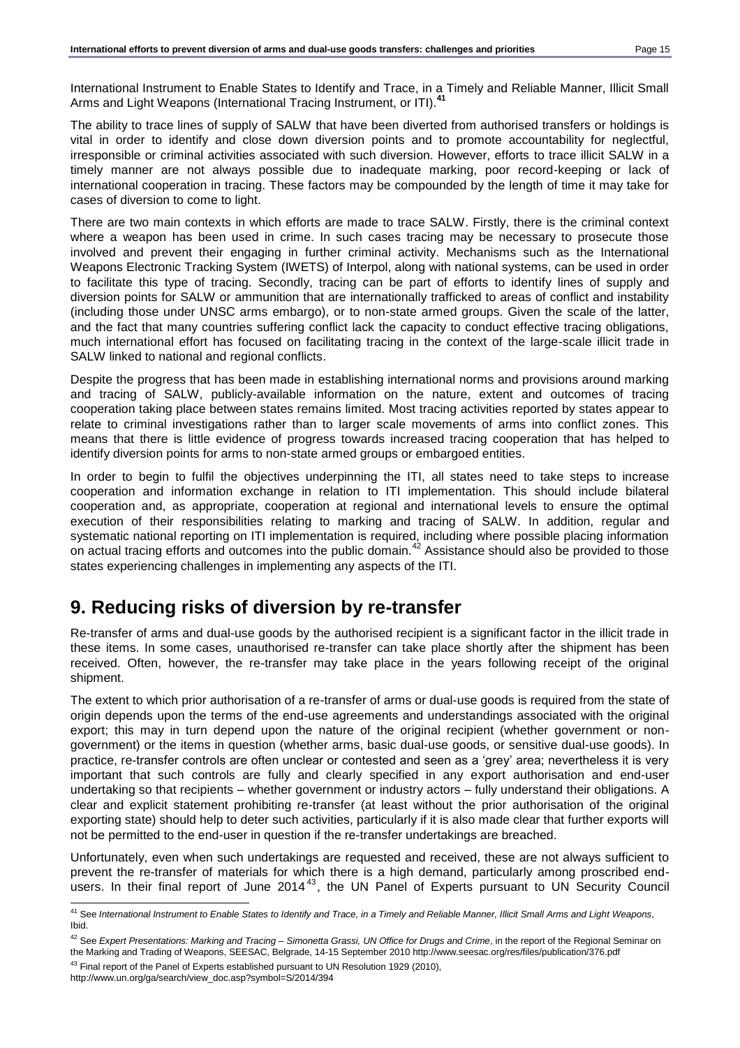International Instrument to Enable States to Identify and Trace, in a Timely and Reliable Manner, Illicit Small Arms and Light Weapons (International Tracing Instrument, or ITI).**<sup>41</sup>**

The ability to trace lines of supply of SALW that have been diverted from authorised transfers or holdings is vital in order to identify and close down diversion points and to promote accountability for neglectful, irresponsible or criminal activities associated with such diversion. However, efforts to trace illicit SALW in a timely manner are not always possible due to inadequate marking, poor record-keeping or lack of international cooperation in tracing. These factors may be compounded by the length of time it may take for cases of diversion to come to light.

There are two main contexts in which efforts are made to trace SALW. Firstly, there is the criminal context where a weapon has been used in crime. In such cases tracing may be necessary to prosecute those involved and prevent their engaging in further criminal activity. Mechanisms such as the International Weapons Electronic Tracking System (IWETS) of Interpol, along with national systems, can be used in order to facilitate this type of tracing. Secondly, tracing can be part of efforts to identify lines of supply and diversion points for SALW or ammunition that are internationally trafficked to areas of conflict and instability (including those under UNSC arms embargo), or to non-state armed groups. Given the scale of the latter, and the fact that many countries suffering conflict lack the capacity to conduct effective tracing obligations, much international effort has focused on facilitating tracing in the context of the large-scale illicit trade in SALW linked to national and regional conflicts.

Despite the progress that has been made in establishing international norms and provisions around marking and tracing of SALW, publicly-available information on the nature, extent and outcomes of tracing cooperation taking place between states remains limited. Most tracing activities reported by states appear to relate to criminal investigations rather than to larger scale movements of arms into conflict zones. This means that there is little evidence of progress towards increased tracing cooperation that has helped to identify diversion points for arms to non-state armed groups or embargoed entities.

In order to begin to fulfil the objectives underpinning the ITI, all states need to take steps to increase cooperation and information exchange in relation to ITI implementation. This should include bilateral cooperation and, as appropriate, cooperation at regional and international levels to ensure the optimal execution of their responsibilities relating to marking and tracing of SALW. In addition, regular and systematic national reporting on ITI implementation is required, including where possible placing information on actual tracing efforts and outcomes into the public domain.<sup>42</sup> Assistance should also be provided to those states experiencing challenges in implementing any aspects of the ITI.

# <span id="page-14-0"></span>**9. Reducing risks of diversion by re-transfer**

Re-transfer of arms and dual-use goods by the authorised recipient is a significant factor in the illicit trade in these items. In some cases, unauthorised re-transfer can take place shortly after the shipment has been received. Often, however, the re-transfer may take place in the years following receipt of the original shipment.

The extent to which prior authorisation of a re-transfer of arms or dual-use goods is required from the state of origin depends upon the terms of the end-use agreements and understandings associated with the original export; this may in turn depend upon the nature of the original recipient (whether government or nongovernment) or the items in question (whether arms, basic dual-use goods, or sensitive dual-use goods). In practice, re-transfer controls are often unclear or contested and seen as a 'grey' area; nevertheless it is very important that such controls are fully and clearly specified in any export authorisation and end-user undertaking so that recipients – whether government or industry actors – fully understand their obligations. A clear and explicit statement prohibiting re-transfer (at least without the prior authorisation of the original exporting state) should help to deter such activities, particularly if it is also made clear that further exports will not be permitted to the end-user in question if the re-transfer undertakings are breached.

Unfortunately, even when such undertakings are requested and received, these are not always sufficient to prevent the re-transfer of materials for which there is a high demand, particularly among proscribed endusers. In their final report of June  $2014^{43}$ , the UN Panel of Experts pursuant to UN Security Council

l <sup>41</sup> See *International Instrument to Enable States to Identify and Trace, in a Timely and Reliable Manner, Illicit Small Arms and Light Weapons*, Ibid.

<sup>42</sup> See *Expert Presentations: Marking and Tracing – Simonetta Grassi, UN Office for Drugs and Crime*, in the report of the Regional Seminar on the Marking and Trading of Weapons, SEESAC, Belgrade, 14-15 September 2010<http://www.seesac.org/res/files/publication/376.pdf>

<sup>&</sup>lt;sup>43</sup> Final report of the Panel of Experts established pursuant to UN Resolution 1929 (2010),

http://www.un.org/ga/search/view\_doc.asp?symbol=S/2014/394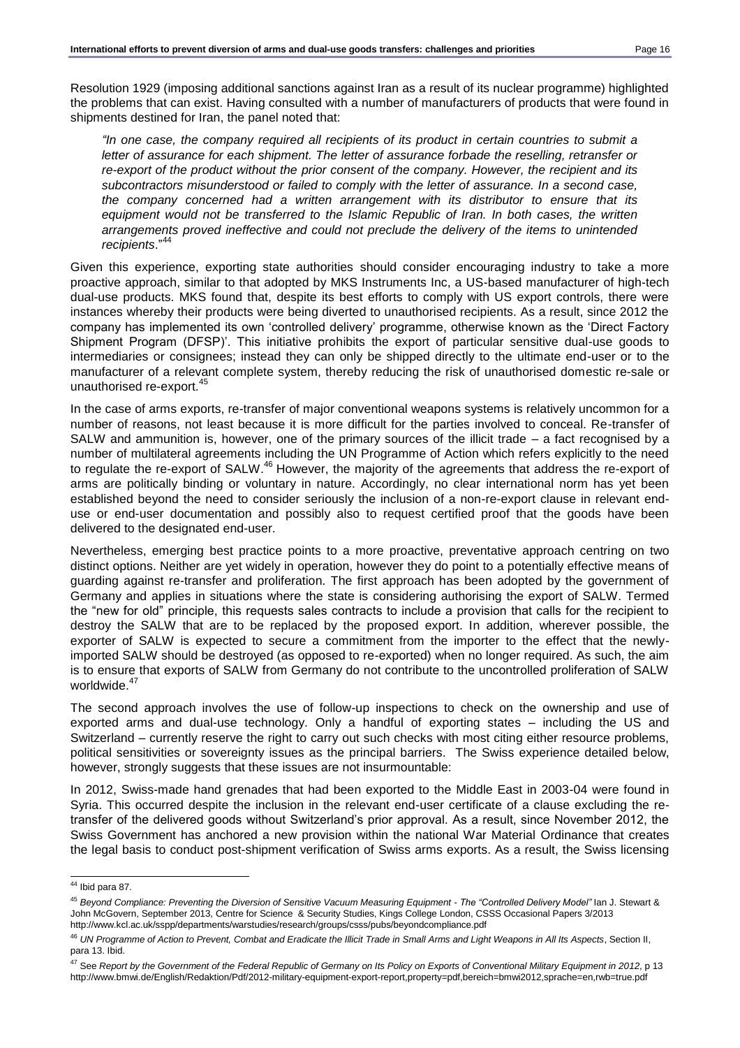Resolution 1929 (imposing additional sanctions against Iran as a result of its nuclear programme) highlighted the problems that can exist. Having consulted with a number of manufacturers of products that were found in shipments destined for Iran, the panel noted that:

*"In one case, the company required all recipients of its product in certain countries to submit a letter of assurance for each shipment. The letter of assurance forbade the reselling, retransfer or re-export of the product without the prior consent of the company. However, the recipient and its subcontractors misunderstood or failed to comply with the letter of assurance. In a second case, the company concerned had a written arrangement with its distributor to ensure that its equipment would not be transferred to the Islamic Republic of Iran. In both cases, the written arrangements proved ineffective and could not preclude the delivery of the items to unintended recipients*." 44

Given this experience, exporting state authorities should consider encouraging industry to take a more proactive approach, similar to that adopted by MKS Instruments Inc, a US-based manufacturer of high-tech dual-use products. MKS found that, despite its best efforts to comply with US export controls, there were instances whereby their products were being diverted to unauthorised recipients. As a result, since 2012 the company has implemented its own 'controlled delivery' programme, otherwise known as the 'Direct Factory Shipment Program (DFSP)'. This initiative prohibits the export of particular sensitive dual-use goods to intermediaries or consignees; instead they can only be shipped directly to the ultimate end-user or to the manufacturer of a relevant complete system, thereby reducing the risk of unauthorised domestic re-sale or unauthorised re-export.<sup>45</sup>

In the case of arms exports, re-transfer of major conventional weapons systems is relatively uncommon for a number of reasons, not least because it is more difficult for the parties involved to conceal. Re-transfer of SALW and ammunition is, however, one of the primary sources of the illicit trade – a fact recognised by a number of multilateral agreements including the UN Programme of Action which refers explicitly to the need to regulate the re-export of SALW.<sup>46</sup> However, the majority of the agreements that address the re-export of arms are politically binding or voluntary in nature. Accordingly, no clear international norm has yet been established beyond the need to consider seriously the inclusion of a non-re-export clause in relevant enduse or end-user documentation and possibly also to request certified proof that the goods have been delivered to the designated end-user.

Nevertheless, emerging best practice points to a more proactive, preventative approach centring on two distinct options. Neither are yet widely in operation, however they do point to a potentially effective means of guarding against re-transfer and proliferation. The first approach has been adopted by the government of Germany and applies in situations where the state is considering authorising the export of SALW. Termed the "new for old" principle, this requests sales contracts to include a provision that calls for the recipient to destroy the SALW that are to be replaced by the proposed export. In addition, wherever possible, the exporter of SALW is expected to secure a commitment from the importer to the effect that the newlyimported SALW should be destroyed (as opposed to re-exported) when no longer required. As such, the aim is to ensure that exports of SALW from Germany do not contribute to the uncontrolled proliferation of SALW worldwide.<sup>47</sup>

The second approach involves the use of follow-up inspections to check on the ownership and use of exported arms and dual-use technology. Only a handful of exporting states – including the US and Switzerland – currently reserve the right to carry out such checks with most citing either resource problems, political sensitivities or sovereignty issues as the principal barriers. The Swiss experience detailed below, however, strongly suggests that these issues are not insurmountable:

In 2012, Swiss-made hand grenades that had been exported to the Middle East in 2003-04 were found in Syria. This occurred despite the inclusion in the relevant end-user certificate of a clause excluding the retransfer of the delivered goods without Switzerland's prior approval. As a result, since November 2012, the Swiss Government has anchored a new provision within the national War Material Ordinance that creates the legal basis to conduct post-shipment verification of Swiss arms exports. As a result, the Swiss licensing

<sup>&</sup>lt;sup>44</sup> Ibid para 87.

<sup>45</sup> *Beyond Compliance: Preventing the Diversion of Sensitive Vacuum Measuring Equipment - The "Controlled Delivery Model"* Ian J. Stewart & John McGovern, September 2013, Centre for Science & Security Studies, Kings College London, CSSS Occasional Papers 3/2013 <http://www.kcl.ac.uk/sspp/departments/warstudies/research/groups/csss/pubs/beyondcompliance.pdf>

<sup>46</sup> *UN Programme of Action to Prevent, Combat and Eradicate the Illicit Trade in Small Arms and Light Weapons in All Its Aspects*, Section II, para 13. Ibid.

<sup>47</sup> See *Report by the Government of the Federal Republic of Germany on Its Policy on Exports of Conventional Military Equipment in 2012*, p 13 <http://www.bmwi.de/English/Redaktion/Pdf/2012-military-equipment-export-report,property=pdf,bereich=bmwi2012,sprache=en,rwb=true.pdf>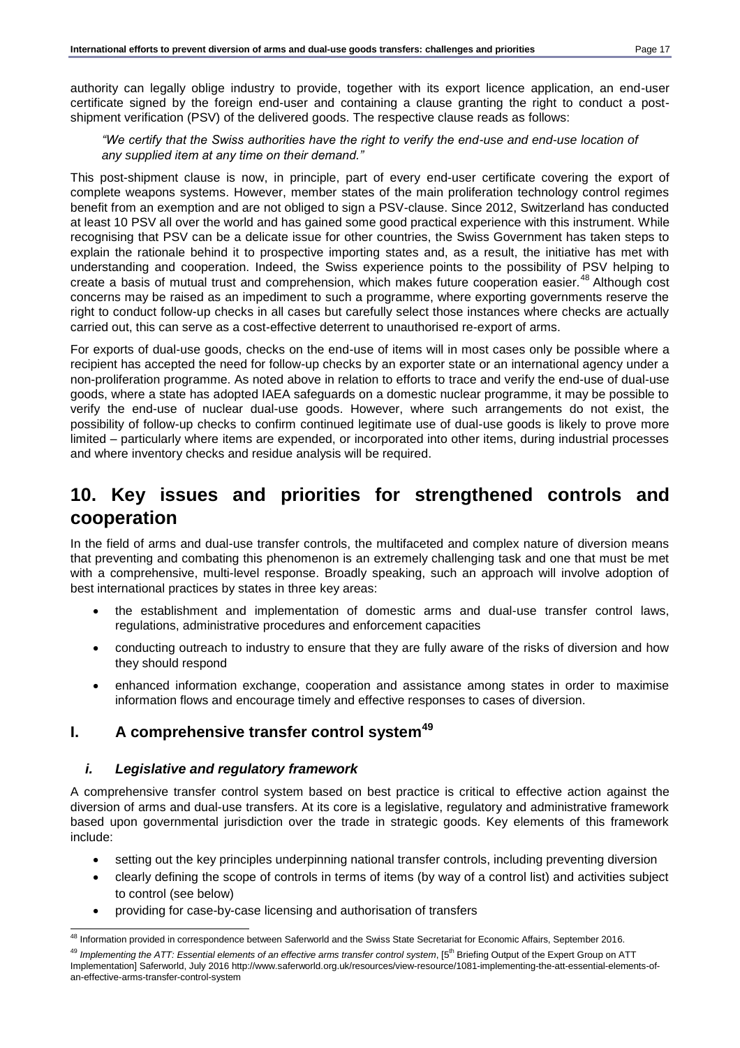authority can legally oblige industry to provide, together with its export licence application, an end-user certificate signed by the foreign end-user and containing a clause granting the right to conduct a postshipment verification (PSV) of the delivered goods. The respective clause reads as follows:

#### *"We certify that the Swiss authorities have the right to verify the end-use and end-use location of any supplied item at any time on their demand."*

This post-shipment clause is now, in principle, part of every end-user certificate covering the export of complete weapons systems. However, member states of the main proliferation technology control regimes benefit from an exemption and are not obliged to sign a PSV-clause. Since 2012, Switzerland has conducted at least 10 PSV all over the world and has gained some good practical experience with this instrument. While recognising that PSV can be a delicate issue for other countries, the Swiss Government has taken steps to explain the rationale behind it to prospective importing states and, as a result, the initiative has met with understanding and cooperation. Indeed, the Swiss experience points to the possibility of PSV helping to create a basis of mutual trust and comprehension, which makes future cooperation easier.<sup>48</sup> Although cost concerns may be raised as an impediment to such a programme, where exporting governments reserve the right to conduct follow-up checks in all cases but carefully select those instances where checks are actually carried out, this can serve as a cost-effective deterrent to unauthorised re-export of arms.

For exports of dual-use goods, checks on the end-use of items will in most cases only be possible where a recipient has accepted the need for follow-up checks by an exporter state or an international agency under a non-proliferation programme. As noted above in relation to efforts to trace and verify the end-use of dual-use goods, where a state has adopted IAEA safeguards on a domestic nuclear programme, it may be possible to verify the end-use of nuclear dual-use goods. However, where such arrangements do not exist, the possibility of follow-up checks to confirm continued legitimate use of dual-use goods is likely to prove more limited – particularly where items are expended, or incorporated into other items, during industrial processes and where inventory checks and residue analysis will be required.

# <span id="page-16-0"></span>**10. Key issues and priorities for strengthened controls and cooperation**

In the field of arms and dual-use transfer controls, the multifaceted and complex nature of diversion means that preventing and combating this phenomenon is an extremely challenging task and one that must be met with a comprehensive, multi-level response. Broadly speaking, such an approach will involve adoption of best international practices by states in three key areas:

- the establishment and implementation of domestic arms and dual-use transfer control laws, regulations, administrative procedures and enforcement capacities
- conducting outreach to industry to ensure that they are fully aware of the risks of diversion and how they should respond
- enhanced information exchange, cooperation and assistance among states in order to maximise information flows and encourage timely and effective responses to cases of diversion.

## **I. A comprehensive transfer control system<sup>49</sup>**

## *i. Legislative and regulatory framework*

A comprehensive transfer control system based on best practice is critical to effective action against the diversion of arms and dual-use transfers. At its core is a legislative, regulatory and administrative framework based upon governmental jurisdiction over the trade in strategic goods. Key elements of this framework include:

- setting out the key principles underpinning national transfer controls, including preventing diversion
- clearly defining the scope of controls in terms of items (by way of a control list) and activities subject to control (see below)
- providing for case-by-case licensing and authorisation of transfers

l <sup>48</sup> Information provided in correspondence between Saferworld and the Swiss State Secretariat for Economic Affairs, September 2016.

<sup>&</sup>lt;sup>49</sup> Implementing the ATT: Essential elements of an effective arms transfer control system, [5<sup>th</sup> Briefing Output of the Expert Group on ATT Implementation] Saferworld, July 2016 http://www.saferworld.org.uk/resources/view-resource/1081-implementing-the-att-essential-elements-ofan-effective-arms-transfer-control-system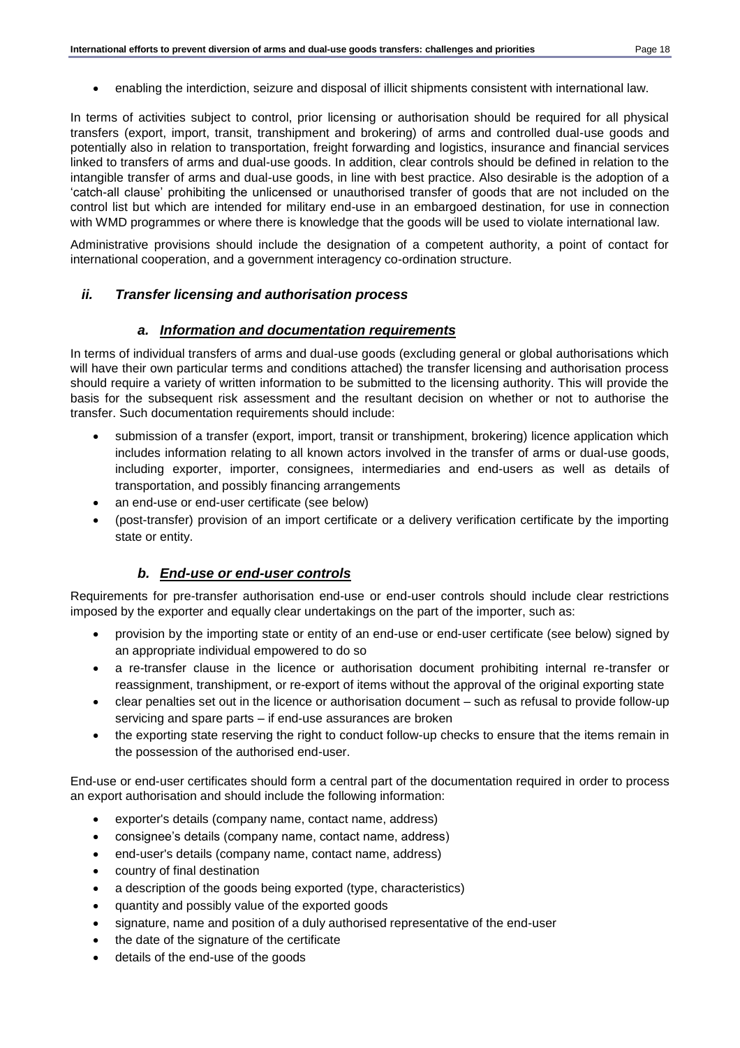enabling the interdiction, seizure and disposal of illicit shipments consistent with international law.

In terms of activities subject to control, prior licensing or authorisation should be required for all physical transfers (export, import, transit, transhipment and brokering) of arms and controlled dual-use goods and potentially also in relation to transportation, freight forwarding and logistics, insurance and financial services linked to transfers of arms and dual-use goods. In addition, clear controls should be defined in relation to the intangible transfer of arms and dual-use goods, in line with best practice. Also desirable is the adoption of a 'catch-all clause' prohibiting the unlicensed or unauthorised transfer of goods that are not included on the control list but which are intended for military end-use in an embargoed destination, for use in connection with WMD programmes or where there is knowledge that the goods will be used to violate international law.

Administrative provisions should include the designation of a competent authority, a point of contact for international cooperation, and a government interagency co-ordination structure.

#### *ii. Transfer licensing and authorisation process*

#### *a. Information and documentation requirements*

In terms of individual transfers of arms and dual-use goods (excluding general or global authorisations which will have their own particular terms and conditions attached) the transfer licensing and authorisation process should require a variety of written information to be submitted to the licensing authority. This will provide the basis for the subsequent risk assessment and the resultant decision on whether or not to authorise the transfer. Such documentation requirements should include:

- submission of a transfer (export, import, transit or transhipment, brokering) licence application which includes information relating to all known actors involved in the transfer of arms or dual-use goods, including exporter, importer, consignees, intermediaries and end-users as well as details of transportation, and possibly financing arrangements
- an end-use or end-user certificate (see below)
- (post-transfer) provision of an import certificate or a delivery verification certificate by the importing state or entity.

#### *b. End-use or end-user controls*

Requirements for pre-transfer authorisation end-use or end-user controls should include clear restrictions imposed by the exporter and equally clear undertakings on the part of the importer, such as:

- provision by the importing state or entity of an end-use or end-user certificate (see below) signed by an appropriate individual empowered to do so
- a re-transfer clause in the licence or authorisation document prohibiting internal re-transfer or reassignment, transhipment, or re-export of items without the approval of the original exporting state
- clear penalties set out in the licence or authorisation document such as refusal to provide follow-up servicing and spare parts – if end-use assurances are broken
- the exporting state reserving the right to conduct follow-up checks to ensure that the items remain in the possession of the authorised end-user.

End-use or end-user certificates should form a central part of the documentation required in order to process an export authorisation and should include the following information:

- exporter's details (company name, contact name, address)
- consignee's details (company name, contact name, address)
- end-user's details (company name, contact name, address)
- country of final destination
- a description of the goods being exported (type, characteristics)
- quantity and possibly value of the exported goods
- signature, name and position of a duly authorised representative of the end-user
- the date of the signature of the certificate
- details of the end-use of the goods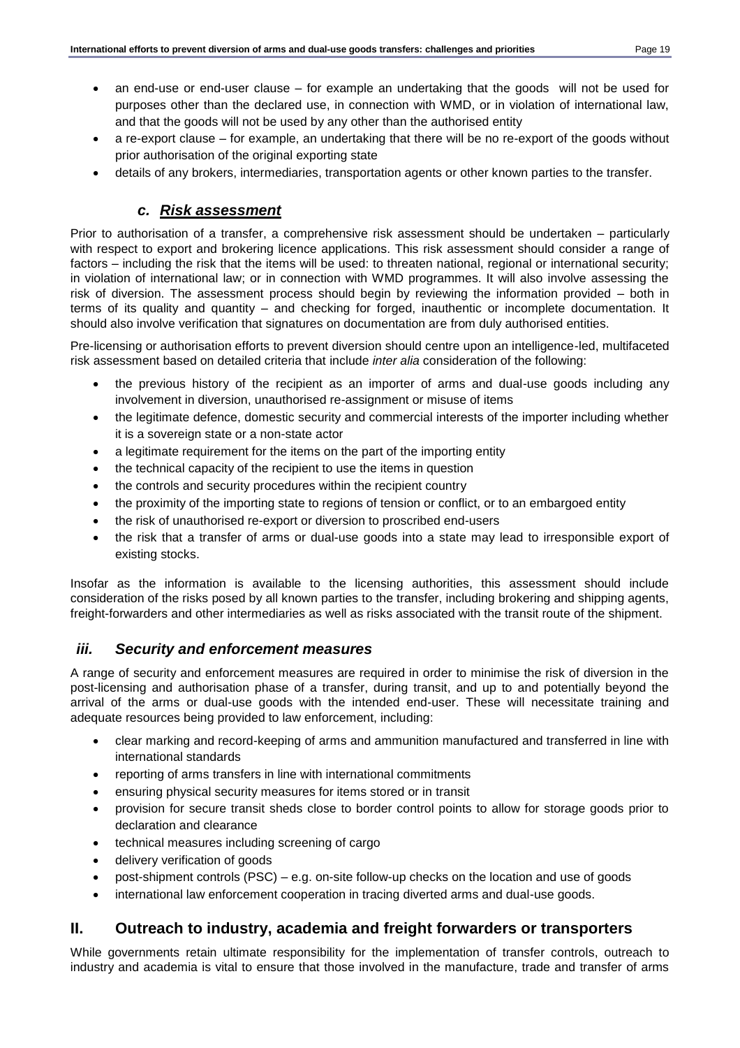- an end-use or end-user clause for example an undertaking that the goods will not be used for purposes other than the declared use, in connection with WMD, or in violation of international law, and that the goods will not be used by any other than the authorised entity
- a re-export clause for example, an undertaking that there will be no re-export of the goods without prior authorisation of the original exporting state
- details of any brokers, intermediaries, transportation agents or other known parties to the transfer.

## *c. Risk assessment*

Prior to authorisation of a transfer, a comprehensive risk assessment should be undertaken – particularly with respect to export and brokering licence applications. This risk assessment should consider a range of factors – including the risk that the items will be used: to threaten national, regional or international security; in violation of international law; or in connection with WMD programmes. It will also involve assessing the risk of diversion. The assessment process should begin by reviewing the information provided – both in terms of its quality and quantity – and checking for forged, inauthentic or incomplete documentation. It should also involve verification that signatures on documentation are from duly authorised entities.

Pre-licensing or authorisation efforts to prevent diversion should centre upon an intelligence-led, multifaceted risk assessment based on detailed criteria that include *inter alia* consideration of the following:

- the previous history of the recipient as an importer of arms and dual-use goods including any involvement in diversion, unauthorised re-assignment or misuse of items
- the legitimate defence, domestic security and commercial interests of the importer including whether it is a sovereign state or a non-state actor
- a legitimate requirement for the items on the part of the importing entity
- the technical capacity of the recipient to use the items in question
- the controls and security procedures within the recipient country
- the proximity of the importing state to regions of tension or conflict, or to an embargoed entity
- the risk of unauthorised re-export or diversion to proscribed end-users
- the risk that a transfer of arms or dual-use goods into a state may lead to irresponsible export of existing stocks.

Insofar as the information is available to the licensing authorities, this assessment should include consideration of the risks posed by all known parties to the transfer, including brokering and shipping agents, freight-forwarders and other intermediaries as well as risks associated with the transit route of the shipment.

## *iii. Security and enforcement measures*

A range of security and enforcement measures are required in order to minimise the risk of diversion in the post-licensing and authorisation phase of a transfer, during transit, and up to and potentially beyond the arrival of the arms or dual-use goods with the intended end-user. These will necessitate training and adequate resources being provided to law enforcement, including:

- clear marking and record-keeping of arms and ammunition manufactured and transferred in line with international standards
- reporting of arms transfers in line with international commitments
- ensuring physical security measures for items stored or in transit
- provision for secure transit sheds close to border control points to allow for storage goods prior to declaration and clearance
- technical measures including screening of cargo
- delivery verification of goods
- post-shipment controls (PSC) e.g. on-site follow-up checks on the location and use of goods
- international law enforcement cooperation in tracing diverted arms and dual-use goods.

# **II. Outreach to industry, academia and freight forwarders or transporters**

While governments retain ultimate responsibility for the implementation of transfer controls, outreach to industry and academia is vital to ensure that those involved in the manufacture, trade and transfer of arms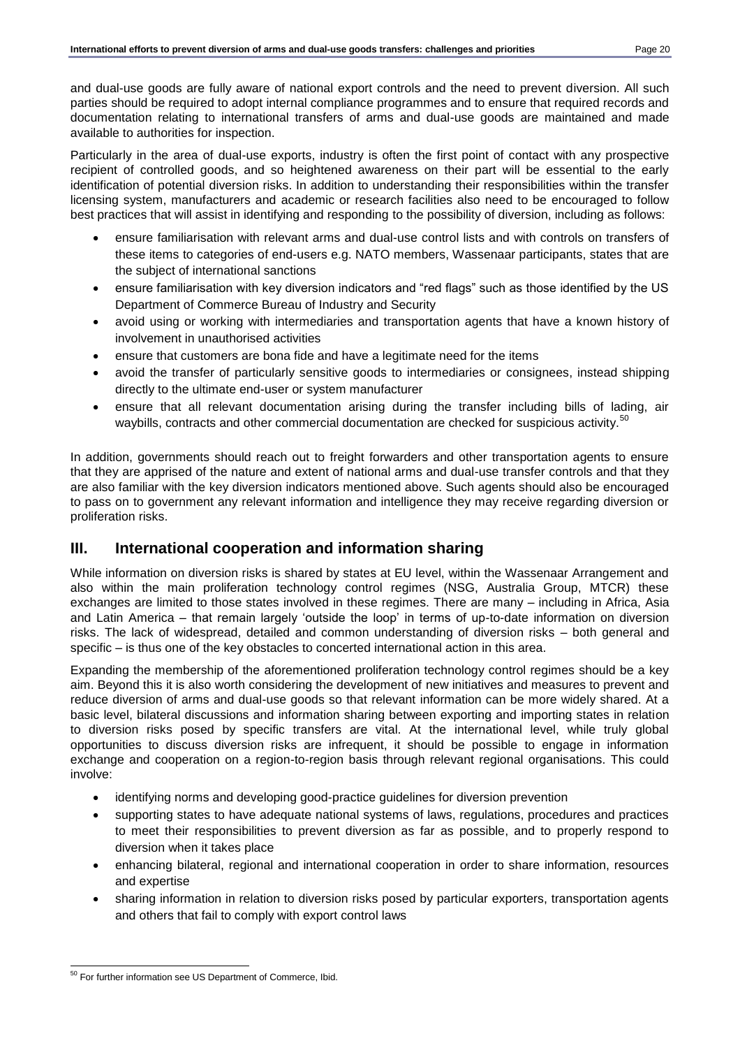and dual-use goods are fully aware of national export controls and the need to prevent diversion. All such parties should be required to adopt internal compliance programmes and to ensure that required records and documentation relating to international transfers of arms and dual-use goods are maintained and made available to authorities for inspection.

Particularly in the area of dual-use exports, industry is often the first point of contact with any prospective recipient of controlled goods, and so heightened awareness on their part will be essential to the early identification of potential diversion risks. In addition to understanding their responsibilities within the transfer licensing system, manufacturers and academic or research facilities also need to be encouraged to follow best practices that will assist in identifying and responding to the possibility of diversion, including as follows:

- ensure familiarisation with relevant arms and dual-use control lists and with controls on transfers of these items to categories of end-users e.g. NATO members, Wassenaar participants, states that are the subject of international sanctions
- ensure familiarisation with key diversion indicators and "red flags" such as those identified by the US Department of Commerce Bureau of Industry and Security
- avoid using or working with intermediaries and transportation agents that have a known history of involvement in unauthorised activities
- ensure that customers are bona fide and have a legitimate need for the items
- avoid the transfer of particularly sensitive goods to intermediaries or consignees, instead shipping directly to the ultimate end-user or system manufacturer
- ensure that all relevant documentation arising during the transfer including bills of lading, air waybills, contracts and other commercial documentation are checked for suspicious activity.<sup>50</sup>

In addition, governments should reach out to freight forwarders and other transportation agents to ensure that they are apprised of the nature and extent of national arms and dual-use transfer controls and that they are also familiar with the key diversion indicators mentioned above. Such agents should also be encouraged to pass on to government any relevant information and intelligence they may receive regarding diversion or proliferation risks.

# **III. International cooperation and information sharing**

While information on diversion risks is shared by states at EU level, within the Wassenaar Arrangement and also within the main proliferation technology control regimes (NSG, Australia Group, MTCR) these exchanges are limited to those states involved in these regimes. There are many – including in Africa, Asia and Latin America – that remain largely 'outside the loop' in terms of up-to-date information on diversion risks. The lack of widespread, detailed and common understanding of diversion risks – both general and specific – is thus one of the key obstacles to concerted international action in this area.

Expanding the membership of the aforementioned proliferation technology control regimes should be a key aim. Beyond this it is also worth considering the development of new initiatives and measures to prevent and reduce diversion of arms and dual-use goods so that relevant information can be more widely shared. At a basic level, bilateral discussions and information sharing between exporting and importing states in relation to diversion risks posed by specific transfers are vital. At the international level, while truly global opportunities to discuss diversion risks are infrequent, it should be possible to engage in information exchange and cooperation on a region-to-region basis through relevant regional organisations. This could involve:

- identifying norms and developing good-practice guidelines for diversion prevention
- supporting states to have adequate national systems of laws, regulations, procedures and practices to meet their responsibilities to prevent diversion as far as possible, and to properly respond to diversion when it takes place
- enhancing bilateral, regional and international cooperation in order to share information, resources and expertise
- sharing information in relation to diversion risks posed by particular exporters, transportation agents and others that fail to comply with export control laws

l <sup>50</sup> For further information see US Department of Commerce, Ibid.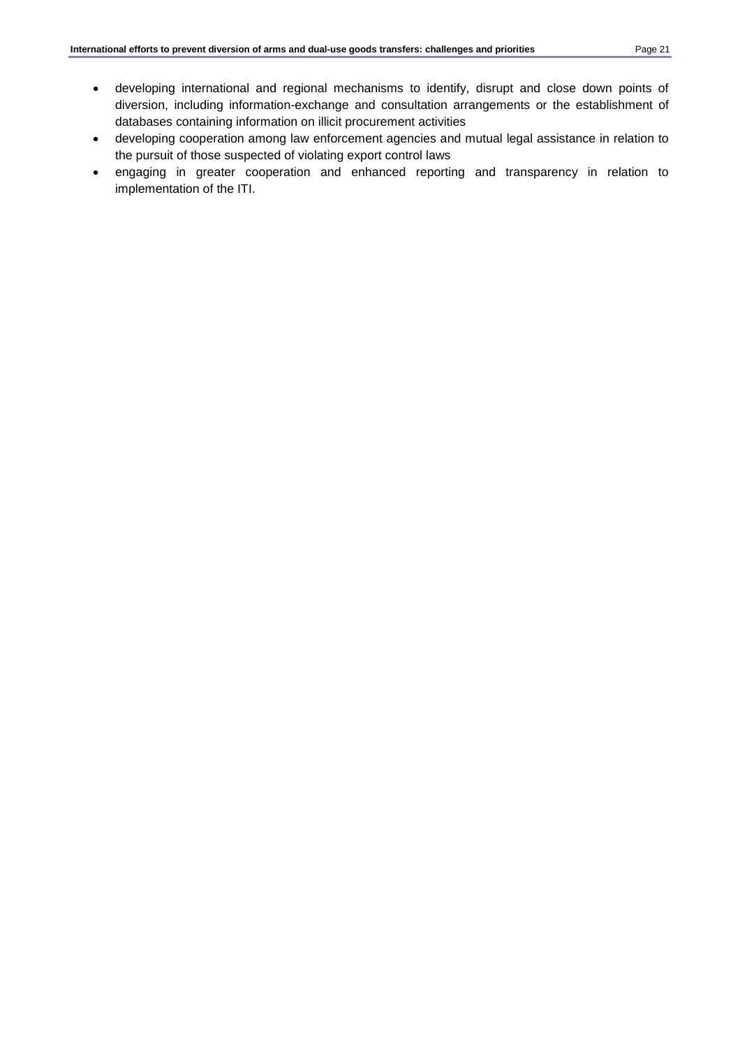- developing international and regional mechanisms to identify, disrupt and close down points of diversion, including information-exchange and consultation arrangements or the establishment of databases containing information on illicit procurement activities
- developing cooperation among law enforcement agencies and mutual legal assistance in relation to the pursuit of those suspected of violating export control laws
- engaging in greater cooperation and enhanced reporting and transparency in relation to implementation of the ITI.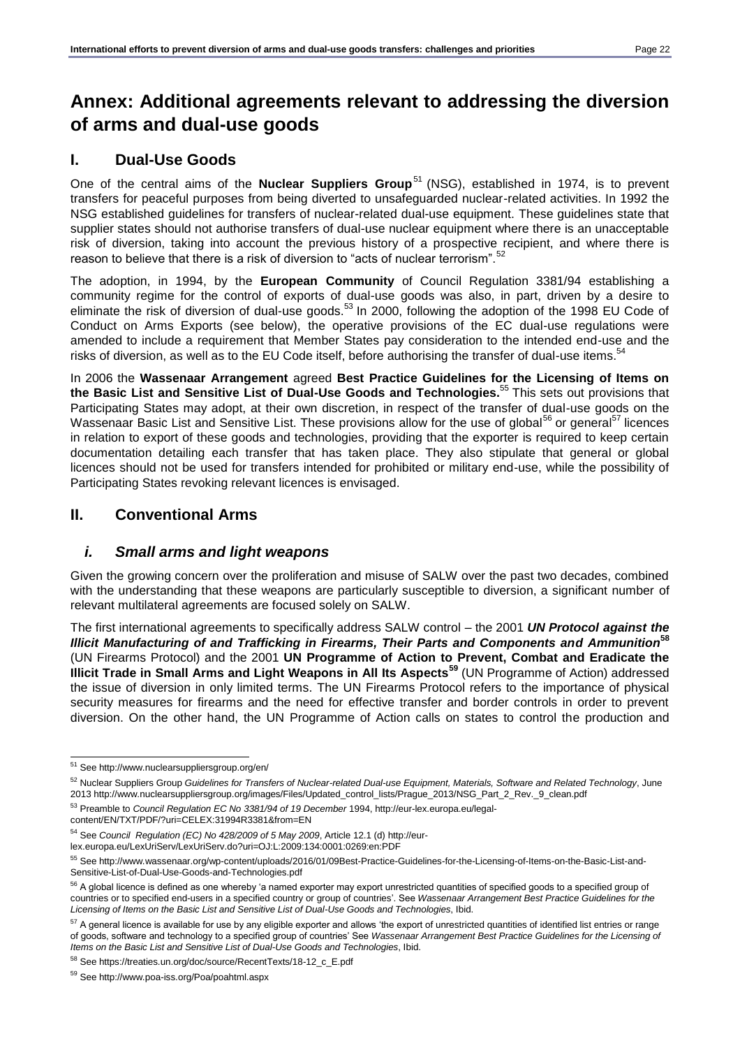# <span id="page-21-0"></span>**Annex: Additional agreements relevant to addressing the diversion of arms and dual-use goods**

## **I. Dual-Use Goods**

One of the central aims of the **Nuclear Suppliers Group**<sup>51</sup> (NSG), established in 1974, is to prevent transfers for peaceful purposes from being diverted to unsafeguarded nuclear-related activities. In 1992 the NSG established guidelines for transfers of nuclear-related dual-use equipment. These guidelines state that supplier states should not authorise transfers of dual-use nuclear equipment where there is an unacceptable risk of diversion, taking into account the previous history of a prospective recipient, and where there is reason to believe that there is a risk of diversion to "acts of nuclear terrorism".<sup>52</sup>

The adoption, in 1994, by the **European Community** of Council Regulation 3381/94 establishing a community regime for the control of exports of dual-use goods was also, in part, driven by a desire to eliminate the risk of diversion of dual-use goods.<sup>53</sup> In 2000, following the adoption of the 1998 EU Code of Conduct on Arms Exports (see below), the operative provisions of the EC dual-use regulations were amended to include a requirement that Member States pay consideration to the intended end-use and the risks of diversion, as well as to the EU Code itself, before authorising the transfer of dual-use items.<sup>54</sup>

In 2006 the **Wassenaar Arrangement** agreed **Best Practice Guidelines for the Licensing of Items on the Basic List and Sensitive List of Dual-Use Goods and Technologies.**<sup>55</sup> This sets out provisions that Participating States may adopt, at their own discretion, in respect of the transfer of dual-use goods on the Wassenaar Basic List and Sensitive List. These provisions allow for the use of global<sup>56</sup> or general<sup>57</sup> licences in relation to export of these goods and technologies, providing that the exporter is required to keep certain documentation detailing each transfer that has taken place. They also stipulate that general or global licences should not be used for transfers intended for prohibited or military end-use, while the possibility of Participating States revoking relevant licences is envisaged.

## **II. Conventional Arms**

## *i. Small arms and light weapons*

Given the growing concern over the proliferation and misuse of SALW over the past two decades, combined with the understanding that these weapons are particularly susceptible to diversion, a significant number of relevant multilateral agreements are focused solely on SALW.

The first international agreements to specifically address SALW control – the 2001 *UN Protocol against the Illicit Manufacturing of and Trafficking in Firearms, Their Parts and Components and Ammunition***<sup>58</sup>** (UN Firearms Protocol) and the 2001 **UN Programme of Action to Prevent, Combat and Eradicate the Illicit Trade in Small Arms and Light Weapons in All Its Aspects<sup>59</sup>** (UN Programme of Action) addressed the issue of diversion in only limited terms. The UN Firearms Protocol refers to the importance of physical security measures for firearms and the need for effective transfer and border controls in order to prevent diversion. On the other hand, the UN Programme of Action calls on states to control the production and

l <sup>51</sup> See http://www.nuclearsuppliersgroup.org/en/

<sup>52</sup> Nuclear Suppliers Group *Guidelines for Transfers of Nuclear-related Dual-use Equipment, Materials, Software and Related Technology*, June 2013 http://www.nuclearsuppliersgroup.org/images/Files/Updated\_control\_lists/Prague\_2013/NSG\_Part\_2\_Rev.\_9\_clean.pdf

<sup>53</sup> Preamble to *Council Regulation EC No 3381/94 of 19 December* 1994, http://eur-lex.europa.eu/legalcontent/EN/TXT/PDF/?uri=CELEX:31994R3381&from=EN

<sup>54</sup> See *Council Regulation (EC) No 428/2009 of 5 May 2009*, Article 12.1 (d) http://eurlex.europa.eu/LexUriServ/LexUriServ.do?uri=OJ:L:2009:134:0001:0269:en:PDF

<sup>55</sup> See http://www.wassenaar.org/wp-content/uploads/2016/01/09Best-Practice-Guidelines-for-the-Licensing-of-Items-on-the-Basic-List-and-Sensitive-List-of-Dual-Use-Goods-and-Technologies.pdf

<sup>&</sup>lt;sup>56</sup> A global licence is defined as one whereby 'a named exporter may export unrestricted quantities of specified goods to a specified group of countries or to specified end-users in a specified country or group of countries'. See *Wassenaar Arrangement Best Practice Guidelines for the Licensing of Items on the Basic List and Sensitive List of Dual-Use Goods and Technologies*, Ibid.

<sup>&</sup>lt;sup>57</sup> A general licence is available for use by any eligible exporter and allows 'the export of unrestricted quantities of identified list entries or range of goods, software and technology to a specified group of countries' See *Wassenaar Arrangement Best Practice Guidelines for the Licensing of Items on the Basic List and Sensitive List of Dual-Use Goods and Technologies*, Ibid.

<sup>58</sup> See [https://treaties.un.org/doc/source/RecentTexts/18-12\\_c\\_E.pdf](https://treaties.un.org/doc/source/RecentTexts/18-12_c_E.pdf)

<sup>59</sup> See<http://www.poa-iss.org/Poa/poahtml.aspx>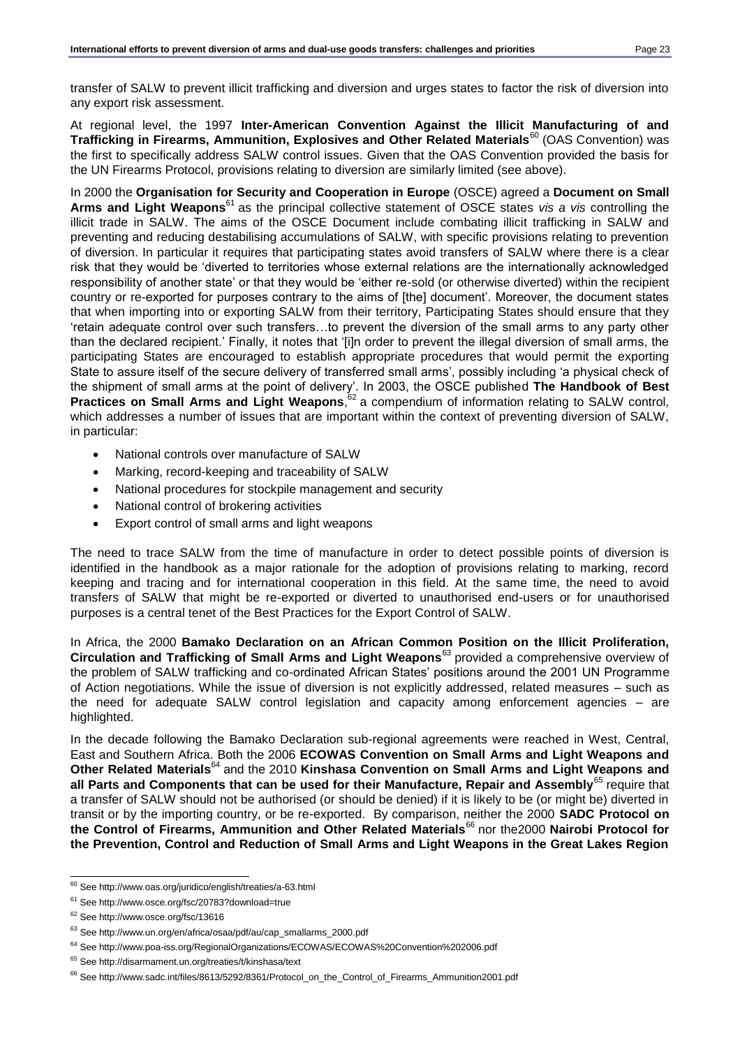transfer of SALW to prevent illicit trafficking and diversion and urges states to factor the risk of diversion into any export risk assessment.

At regional level, the 1997 **Inter-American Convention Against the Illicit Manufacturing of and Trafficking in Firearms, Ammunition, Explosives and Other Related Materials**<sup>60</sup> (OAS Convention) was the first to specifically address SALW control issues. Given that the OAS Convention provided the basis for the UN Firearms Protocol, provisions relating to diversion are similarly limited (see above).

In 2000 the **Organisation for Security and Cooperation in Europe** (OSCE) agreed a **Document on Small Arms and Light Weapons**<sup>61</sup> as the principal collective statement of OSCE states *vis a vis* controlling the illicit trade in SALW. The aims of the OSCE Document include combating illicit trafficking in SALW and preventing and reducing destabilising accumulations of SALW, with specific provisions relating to prevention of diversion. In particular it requires that participating states avoid transfers of SALW where there is a clear risk that they would be 'diverted to territories whose external relations are the internationally acknowledged responsibility of another state' or that they would be 'either re-sold (or otherwise diverted) within the recipient country or re-exported for purposes contrary to the aims of [the] document'. Moreover, the document states that when importing into or exporting SALW from their territory, Participating States should ensure that they 'retain adequate control over such transfers…to prevent the diversion of the small arms to any party other than the declared recipient.' Finally, it notes that '[i]n order to prevent the illegal diversion of small arms, the participating States are encouraged to establish appropriate procedures that would permit the exporting State to assure itself of the secure delivery of transferred small arms', possibly including 'a physical check of the shipment of small arms at the point of delivery'. In 2003, the OSCE published **The Handbook of Best**  Practices on Small Arms and Light Weapons,  $62$  a compendium of information relating to SALW control, which addresses a number of issues that are important within the context of preventing diversion of SALW, in particular:

- National controls over manufacture of SALW
- Marking, record-keeping and traceability of SALW
- National procedures for stockpile management and security
- National control of brokering activities
- Export control of small arms and light weapons

The need to trace SALW from the time of manufacture in order to detect possible points of diversion is identified in the handbook as a major rationale for the adoption of provisions relating to marking, record keeping and tracing and for international cooperation in this field. At the same time, the need to avoid transfers of SALW that might be re-exported or diverted to unauthorised end-users or for unauthorised purposes is a central tenet of the Best Practices for the Export Control of SALW.

In Africa, the 2000 **Bamako Declaration on an African Common Position on the Illicit Proliferation, Circulation and Trafficking of Small Arms and Light Weapons**<sup>63</sup> provided a comprehensive overview of the problem of SALW trafficking and co-ordinated African States' positions around the 2001 UN Programme of Action negotiations. While the issue of diversion is not explicitly addressed, related measures – such as the need for adequate SALW control legislation and capacity among enforcement agencies – are highlighted.

In the decade following the Bamako Declaration sub-regional agreements were reached in West, Central, East and Southern Africa. Both the 2006 **ECOWAS Convention on Small Arms and Light Weapons and Other Related Materials**<sup>64</sup> and the 2010 **Kinshasa Convention on Small Arms and Light Weapons and all Parts and Components that can be used for their Manufacture, Repair and Assembly**<sup>65</sup> require that a transfer of SALW should not be authorised (or should be denied) if it is likely to be (or might be) diverted in transit or by the importing country, or be re-exported. By comparison, neither the 2000 **SADC Protocol on the Control of Firearms, Ammunition and Other Related Materials**<sup>66</sup> nor the2000 **Nairobi Protocol for the Prevention, Control and Reduction of Small Arms and Light Weapons in the Great Lakes Region** 

l <sup>60</sup> See<http://www.oas.org/juridico/english/treaties/a-63.html>

<sup>61</sup> See<http://www.osce.org/fsc/20783?download=true>

<sup>62</sup> See<http://www.osce.org/fsc/13616>

<sup>63</sup> See [http://www.un.org/en/africa/osaa/pdf/au/cap\\_smallarms\\_2000.pdf](http://www.un.org/en/africa/osaa/pdf/au/cap_smallarms_2000.pdf)

<sup>64</sup> See<http://www.poa-iss.org/RegionalOrganizations/ECOWAS/ECOWAS%20Convention%202006.pdf>

<sup>65</sup> See<http://disarmament.un.org/treaties/t/kinshasa/text>

<sup>66</sup> See [http://www.sadc.int/files/8613/5292/8361/Protocol\\_on\\_the\\_Control\\_of\\_Firearms\\_Ammunition2001.pdf](http://www.sadc.int/files/8613/5292/8361/Protocol_on_the_Control_of_Firearms_Ammunition2001.pdf)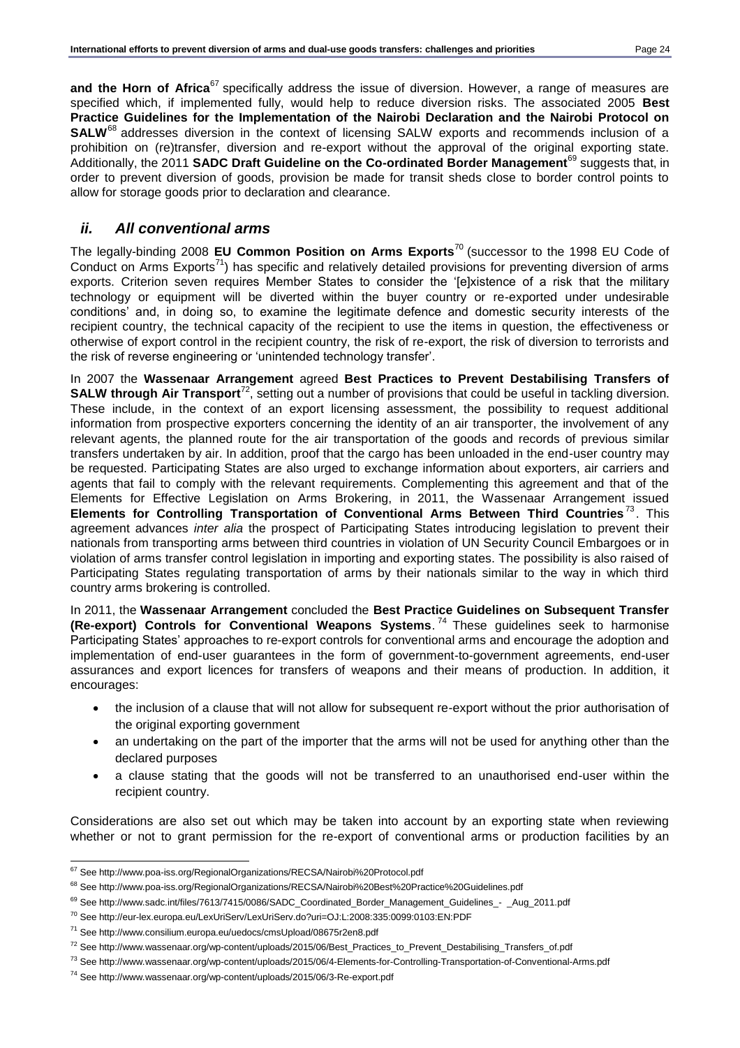and the Horn of Africa<sup>67</sup> specifically address the issue of diversion. However, a range of measures are specified which, if implemented fully, would help to reduce diversion risks. The associated 2005 **Best Practice Guidelines for the Implementation of the Nairobi Declaration and the Nairobi Protocol on SALW**<sup>68</sup> addresses diversion in the context of licensing SALW exports and recommends inclusion of a prohibition on (re)transfer, diversion and re-export without the approval of the original exporting state. Additionally, the 2011 **SADC Draft Guideline on the Co-ordinated Border Management**<sup>69</sup> suggests that, in order to prevent diversion of goods, provision be made for transit sheds close to border control points to allow for storage goods prior to declaration and clearance.

## *ii. All conventional arms*

The legally-binding 2008 **EU Common Position on Arms Exports**<sup>70</sup> (successor to the 1998 EU Code of Conduct on Arms  $Exports^{71}$ ) has specific and relatively detailed provisions for preventing diversion of arms exports. Criterion seven requires Member States to consider the '[e]xistence of a risk that the military technology or equipment will be diverted within the buyer country or re-exported under undesirable conditions' and, in doing so, to examine the legitimate defence and domestic security interests of the recipient country, the technical capacity of the recipient to use the items in question, the effectiveness or otherwise of export control in the recipient country, the risk of re-export, the risk of diversion to terrorists and the risk of reverse engineering or 'unintended technology transfer'.

In 2007 the **Wassenaar Arrangement** agreed **Best Practices to Prevent Destabilising Transfers of SALW through Air Transport**<sup>72</sup>, setting out a number of provisions that could be useful in tackling diversion. These include, in the context of an export licensing assessment, the possibility to request additional information from prospective exporters concerning the identity of an air transporter, the involvement of any relevant agents, the planned route for the air transportation of the goods and records of previous similar transfers undertaken by air. In addition, proof that the cargo has been unloaded in the end-user country may be requested. Participating States are also urged to exchange information about exporters, air carriers and agents that fail to comply with the relevant requirements. Complementing this agreement and that of the Elements for Effective Legislation on Arms Brokering, in 2011, the Wassenaar Arrangement issued **Elements for Controlling Transportation of Conventional Arms Between Third Countries** <sup>73</sup> . This agreement advances *inter alia* the prospect of Participating States introducing legislation to prevent their nationals from transporting arms between third countries in violation of UN Security Council Embargoes or in violation of arms transfer control legislation in importing and exporting states. The possibility is also raised of Participating States regulating transportation of arms by their nationals similar to the way in which third country arms brokering is controlled.

In 2011, the **Wassenaar Arrangement** concluded the **Best Practice Guidelines on Subsequent Transfer (Re-export) Controls for Conventional Weapons Systems**. <sup>74</sup> These guidelines seek to harmonise Participating States' approaches to re-export controls for conventional arms and encourage the adoption and implementation of end-user guarantees in the form of government-to-government agreements, end-user assurances and export licences for transfers of weapons and their means of production. In addition, it encourages:

- the inclusion of a clause that will not allow for subsequent re-export without the prior authorisation of the original exporting government
- an undertaking on the part of the importer that the arms will not be used for anything other than the declared purposes
- a clause stating that the goods will not be transferred to an unauthorised end-user within the recipient country.

Considerations are also set out which may be taken into account by an exporting state when reviewing whether or not to grant permission for the re-export of conventional arms or production facilities by an

l <sup>67</sup> See<http://www.poa-iss.org/RegionalOrganizations/RECSA/Nairobi%20Protocol.pdf>

<sup>68</sup> See<http://www.poa-iss.org/RegionalOrganizations/RECSA/Nairobi%20Best%20Practice%20Guidelines.pdf>

<sup>69</sup> See http://www.sadc.int/files/7613/7415/0086/SADC\_Coordinated\_Border\_Management\_Guidelines\_-\_Aug\_2011.pdf

<sup>70</sup> See<http://eur-lex.europa.eu/LexUriServ/LexUriServ.do?uri=OJ:L:2008:335:0099:0103:EN:PDF>

<sup>71</sup> See<http://www.consilium.europa.eu/uedocs/cmsUpload/08675r2en8.pdf>

<sup>72</sup> See [http://www.wassenaar.org/wp-content/uploads/2015/06/Best\\_Practices\\_to\\_Prevent\\_Destabilising\\_Transfers\\_of.pdf](http://www.wassenaar.org/wp-content/uploads/2015/06/Best_Practices_to_Prevent_Destabilising_Transfers_of.pdf)

<sup>73</sup> See<http://www.wassenaar.org/wp-content/uploads/2015/06/4-Elements-for-Controlling-Transportation-of-Conventional-Arms.pdf>

<sup>74</sup> See <http://www.wassenaar.org/wp-content/uploads/2015/06/3-Re-export.pdf>